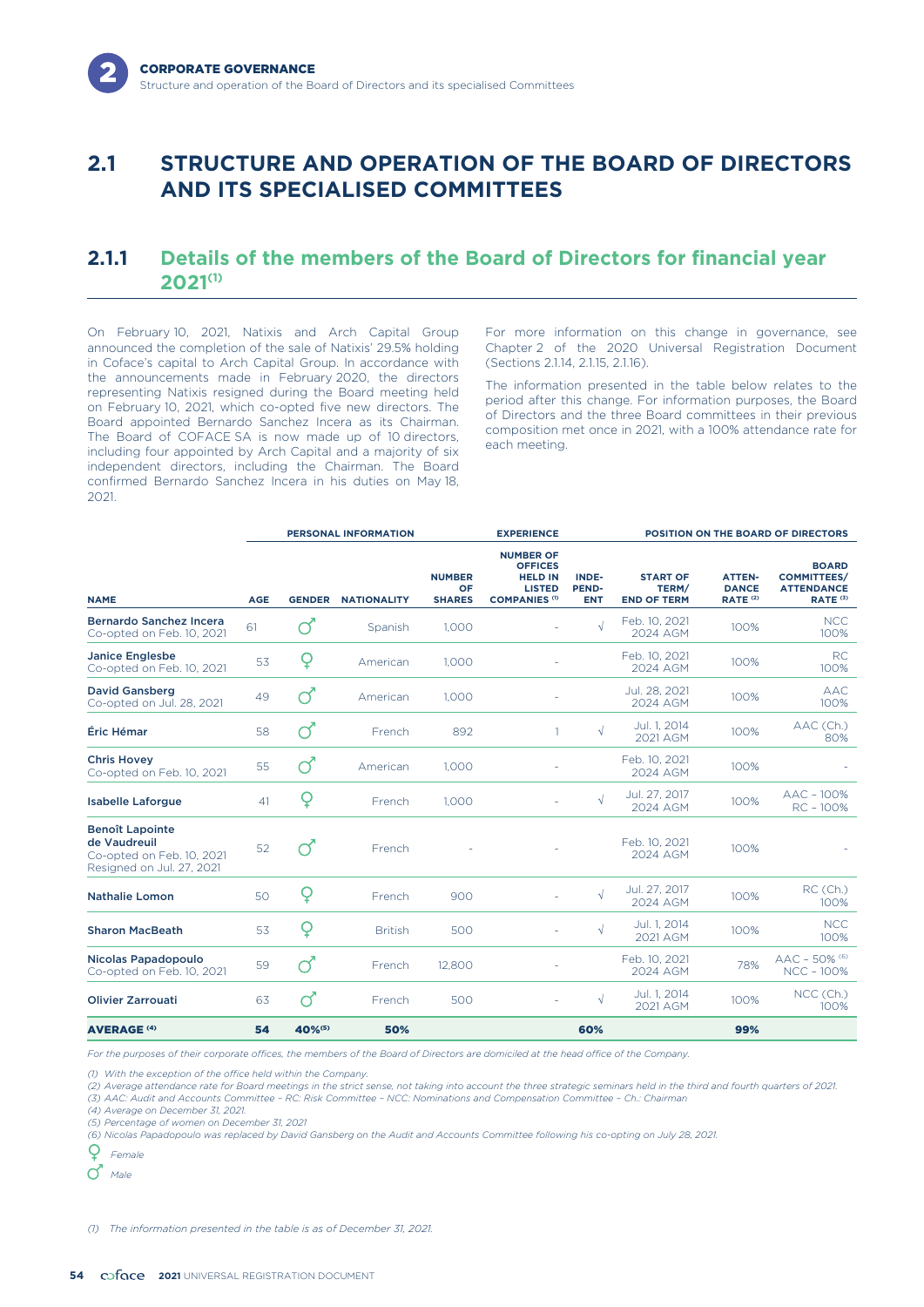# **2.1 STRUCTURE AND OPERATION OF THE BOARD OF DIRECTORS AND ITS SPECIALISED COMMITTEES**

# **2.1.1 Details of the members of the Board of Directors for financial year 2021(1)**

On February 10, 2021, Natixis and Arch Capital Group announced the completion of the sale of Natixis' 29.5% holding in Coface's capital to Arch Capital Group. In accordance with the announcements made in February 2020, the directors representing Natixis resigned during the Board meeting held on February 10, 2021, which co-opted five new directors. The Board appointed Bernardo Sanchez Incera as its Chairman. The Board of COFACE SA is now made up of 10 directors including four appointed by Arch Capital and a majority of six independent directors, including the Chairman. The Board confirmed Bernardo Sanchez Incera in his duties on May 18, 2021.

For more information on this change in governance, see Chapter 2 of the 2020 Universal Registration Document (Sections 2.1.14, 2.1.15, 2.1.16).

The information presented in the table below relates to the period after this change. For information purposes, the Board of Directors and the three Board committees in their previous composition met once in 2021, with a 100% attendance rate for each meeting.

|                                                                                                  | <b>PERSONAL INFORMATION</b> |               |                    | <b>EXPERIENCE</b>                    |                                                                                               |                              | <b>POSITION ON THE BOARD OF DIRECTORS</b>      |                                                      |                                                                                |
|--------------------------------------------------------------------------------------------------|-----------------------------|---------------|--------------------|--------------------------------------|-----------------------------------------------------------------------------------------------|------------------------------|------------------------------------------------|------------------------------------------------------|--------------------------------------------------------------------------------|
| <b>NAME</b>                                                                                      | <b>AGE</b>                  | <b>GENDER</b> | <b>NATIONALITY</b> | <b>NUMBER</b><br>OF<br><b>SHARES</b> | <b>NUMBER OF</b><br><b>OFFICES</b><br><b>HELD IN</b><br><b>LISTED</b><br><b>COMPANIES (1)</b> | INDE-<br>PEND-<br><b>ENT</b> | <b>START OF</b><br>TERM/<br><b>END OF TERM</b> | <b>ATTEN-</b><br><b>DANCE</b><br>RATE <sup>(2)</sup> | <b>BOARD</b><br><b>COMMITTEES/</b><br><b>ATTENDANCE</b><br>RATE <sup>(3)</sup> |
| Bernardo Sanchez Incera<br>Co-opted on Feb. 10, 2021                                             | 61                          |               | Spanish            | 1,000                                |                                                                                               |                              | Feb. 10, 2021<br>2024 AGM                      | 100%                                                 | <b>NCC</b><br>100%                                                             |
| <b>Janice Englesbe</b><br>Co-opted on Feb. 10, 2021                                              | 53                          | Q             | American           | 1.000                                |                                                                                               |                              | Feb. 10, 2021<br>2024 AGM                      | 100%                                                 | <b>RC</b><br>100%                                                              |
| <b>David Gansberg</b><br>Co-opted on Jul. 28, 2021                                               | 49                          | റ്            | American           | 1,000                                |                                                                                               |                              | Jul. 28, 2021<br>2024 AGM                      | 100%                                                 | AAC.<br>100%                                                                   |
| Éric Hémar                                                                                       | 58                          | റ്            | French             | 892                                  | $\mathbf{1}$                                                                                  | $\sqrt{ }$                   | Jul. 1, 2014<br>2021 AGM                       | 100%                                                 | AAC (Ch.)<br>80%                                                               |
| <b>Chris Hovey</b><br>Co-opted on Feb. 10, 2021                                                  | 55                          | റ്            | American           | 1,000                                |                                                                                               |                              | Feb. 10, 2021<br>2024 AGM                      | 100%                                                 |                                                                                |
| <b>Isabelle Laforgue</b>                                                                         | 41                          | Q             | French             | 1,000                                |                                                                                               | √                            | Jul. 27, 2017<br>2024 AGM                      | 100%                                                 | AAC - 100%<br>RC-100%                                                          |
| <b>Benoît Lapointe</b><br>de Vaudreuil<br>Co-opted on Feb. 10, 2021<br>Resigned on Jul. 27, 2021 | 52                          |               | French             |                                      |                                                                                               |                              | Feb. 10, 2021<br>2024 AGM                      | 100%                                                 |                                                                                |
| <b>Nathalie Lomon</b>                                                                            | 50                          | Q             | French             | 900                                  |                                                                                               |                              | Jul. 27, 2017<br>2024 AGM                      | 100%                                                 | RC (Ch.)<br>100%                                                               |
| <b>Sharon MacBeath</b>                                                                           | 53                          | Q             | <b>British</b>     | 500                                  | ÷,                                                                                            |                              | Jul. 1, 2014<br>2021 AGM                       | 100%                                                 | <b>NCC</b><br>100%                                                             |
| Nicolas Papadopoulo<br>Co-opted on Feb. 10, 2021                                                 | 59                          | റ്            | French             | 12,800                               |                                                                                               |                              | Feb. 10, 2021<br>2024 AGM                      | 78%                                                  | $\text{AAC}$ – 50% $^{(6)}$<br><b>NCC - 100%</b>                               |
| <b>Olivier Zarrouati</b>                                                                         | 63                          | ൪             | French             | 500                                  | ٠                                                                                             |                              | Jul. 1, 2014<br>2021 AGM                       | 100%                                                 | NCC (Ch.)<br>100%                                                              |
| <b>AVERAGE<sup>(4)</sup></b>                                                                     | 54                          | 40%(5)        | 50%                |                                      |                                                                                               | 60%                          |                                                | 99%                                                  |                                                                                |

*For the purposes of their corporate offices, the members of the Board of Directors are domiciled at the head office of the Company.*

*(1) With the exception of the office held within the Company.*

*(2) Average attendance rate for Board meetings in the strict sense, not taking into account the three strategic seminars held in the third and fourth quarters of 2021.*

*(3) AAC: Audit and Accounts Committee – RC: Risk Committee – NCC: Nominations and Compensation Committee – Ch.: Chairman*

*(4) Average on December 31, 2021. (5) Percentage of women on December 31, 2021*

*(6) Nicolas Papadopoulo was replaced by David Gansberg on the Audit and Accounts Committee following his co-opting on July 28, 2021.*

Q *Female*

*Male*

*(1) The information presented in the table is as of December 31, 2021.*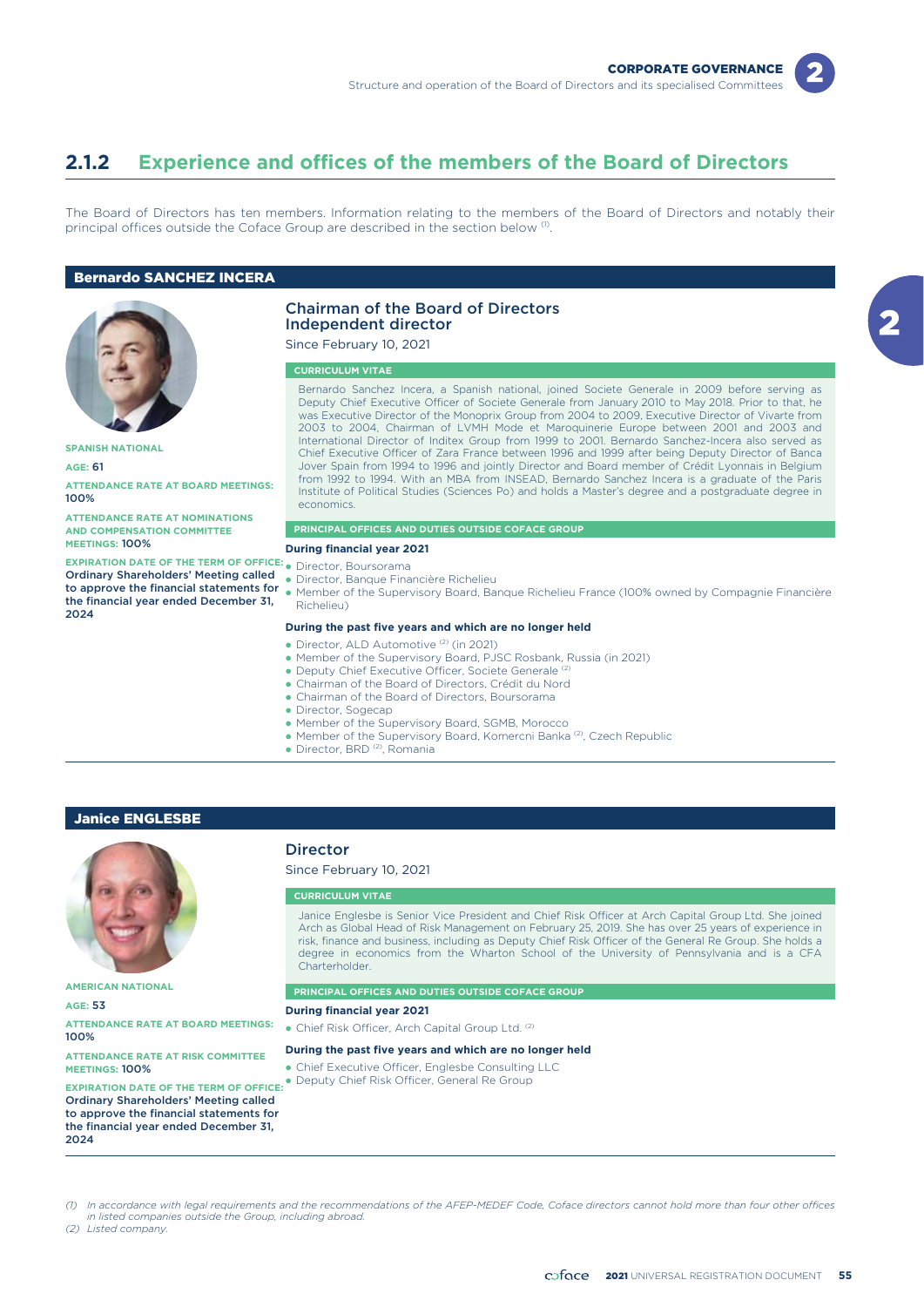

# **2.1.2 Experience and offices of the members of the Board of Directors**

The Board of Directors has ten members. Information relating to the members of the Board of Directors and notably their principal offices outside the Coface Group are described in the section below <sup>(1)</sup>.

### Bernardo SANCHEZ INCERA



**SPANISH NATIONAL**

**AGE:** 61

**ATTENDANCE RATE AT BOARD MEETINGS:** 100%

**ATTENDANCE RATE AT NOMINATIONS AND COMPENSATION COMMITTEE MEETINGS:** 100%

**EXPIRATION DATE OF THE TERM OF OFFICE:** • Director, Boursorama Ordinary Shareholders' Meeting called the financial year ended December 31, 2024

### Chairman of the Board of Directors Independent director

Since February 10, 2021

### **CURRICULUM VITAE**

Bernardo Sanchez Incera, a Spanish national, joined Societe Generale in 2009 before serving as Deputy Chief Executive Officer of Societe Generale from January 2010 to May 2018. Prior to that, he was Executive Director of the Monoprix Group from 2004 to 2009, Executive Director of Vivarte from 2003 to 2004, Chairman of LVMH Mode et Maroquinerie Europe between 2001 and 2003 and International Director of Inditex Group from 1999 to 2001. Bernardo Sanchez-Incera also served as Chief Executive Officer of Zara France between 1996 and 1999 after being Deputy Director of Banca Jover Spain from 1994 to 1996 and jointly Director and Board member of Crédit Lyonnais in Belgium from 1992 to 1994. With an MBA from INSEAD, Bernardo Sanchez Incera is a graduate of the Paris Institute of Political Studies (Sciences Po) and holds a Master's degree and a postgraduate degree in economics.

#### **PRINCIPAL OFFICES AND DUTIES OUTSIDE COFACE GROUP**

- **During financial year 2021**
- 
- Director, Banque Financière Richelieu
- to approve the financial statements for  $\bullet$  Member of the Supervisory Board, Banque Richelieu France (100% owned by Compagnie Financière Richelieu)

#### **During the past five years and which are no longer held**

- Director, ALD Automotive<sup>(2)</sup> (in 2021)
- Member of the Supervisory Board, PJSC Rosbank, Russia (in 2021)
- Deputy Chief Executive Officer, Societe Generale<sup>(2)</sup>
- Chairman of the Board of Directors, Crédit du Nord
- Chairman of the Board of Directors, Boursorama
- Director, Sogecap
- Member of the Supervisory Board, SGMB, Morocco
- Member of the Supervisory Board, Komercni Banka<sup>(2)</sup>, Czech Republic
- · Director, BRD<sup>(2)</sup>, Romania

### Janice ENGLESBE



**AMERICAN NATIONAL**

**AGE:** 53

**ATTENDANCE RATE AT BOARD MEETINGS:** 100%

**ATTENDANCE RATE AT RISK COMMITTEE MEETINGS:** 100%

**EXPIRATION DATE OF THE TERM OF OFFICE:** Ordinary Shareholders' Meeting called to approve the financial statements for the financial year ended December 31, 2024

# Director

-

Since February 10, 2021

#### **CURRICULUM VITAE**

Janice Englesbe is Senior Vice President and Chief Risk Officer at Arch Capital Group Ltd. She joined Arch as Global Head of Risk Management on February 25, 2019. She has over 25 years of experience in risk, finance and business, including as Deputy Chief Risk Officer of the General Re Group. She holds a degree in economics from the Wharton School of the University of Pennsylvania and is a CFA **Charterholder** 

**PRINCIPAL OFFICES AND DUTIES OUTSIDE COFACE GROUP**

#### **During financial year 2021**

• Chief Risk Officer, Arch Capital Group Ltd. (2)

#### **During the past five years and which are no longer held**

- Chief Executive Officer, Englesbe Consulting LLC
- Deputy Chief Risk Officer, General Re Group

l) In accordance with legal requirements and the recommendations of the AFEP-MEDEF Code, Coface directors cannot hold more than four other offices<br>in listed companies outside the Group, including abroad.

*(2) Listed company.*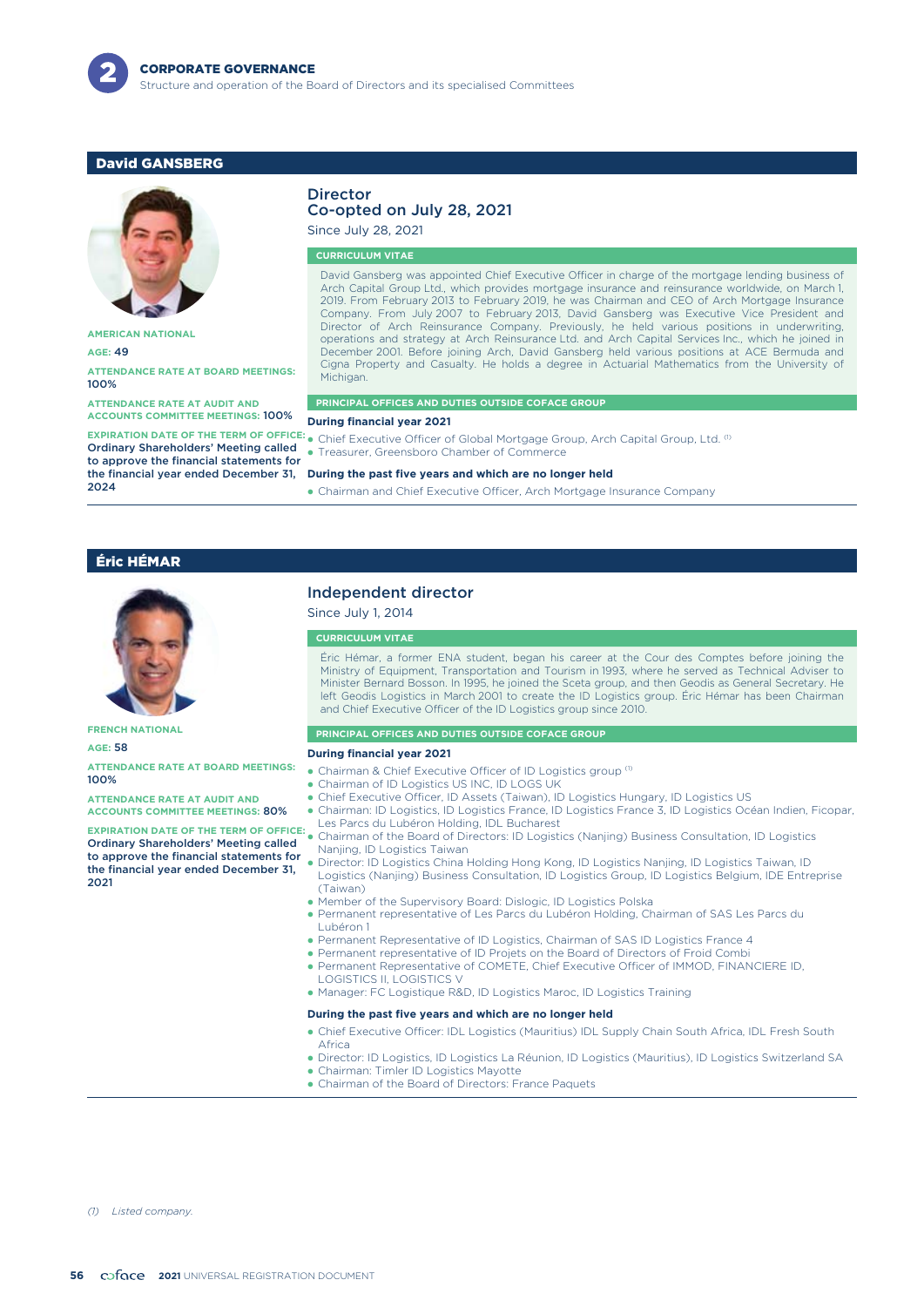

# David GANSBERG



**AMERICAN NATIONAL**

**AGE:** 49

#### **ATTENDANCE RATE AT BOARD MEETINGS:** 100%

**ATTENDANCE RATE AT AUDIT AND ACCOUNTS COMMITTEE MEETINGS:** 100%

**EXPIRATION DATE OF THE TERM OF OFFICE:** Ordinary Shareholders' Meeting called to approve the financial statements for the financial year ended December 31, 2024

#### Director Co-opted on July 28, 2021

Since July 28, 2021

#### **CURRICULUM VITAE**

David Gansberg was appointed Chief Executive Officer in charge of the mortgage lending business of Arch Capital Group Ltd., which provides mortgage insurance and reinsurance worldwide, on March 1, 2019. From February 2013 to February 2019, he was Chairman and CEO of Arch Mortgage Insurance Company. From July 2007 to February 2013, David Gansberg was Executive Vice President and Director of Arch Reinsurance Company. Previously, he held various positions in underwriting, operations and strategy at Arch Reinsurance Ltd. and Arch Capital Services Inc., which he joined in December 2001. Before joining Arch, David Gansberg held various positions at ACE Bermuda and Cigna Property and Casualty. He holds a degree in Actuarial Mathematics from the University of Michigan.

#### **PRINCIPAL OFFICES AND DUTIES OUTSIDE COFACE GROUP**

#### **During financial year 2021**

• Chief Executive Officer of Global Mortgage Group, Arch Capital Group, Ltd.  ${}^{(1)}$ 

-Treasurer, Greensboro Chamber of Commerce

#### **During the past five years and which are no longer held**

- Chairman and Chief Executive Officer, Arch Mortgage Insurance Company

## Éric HÉMAR



**FRENCH NATIONAL**

**AGE:** 58

**ATTENDANCE RATE AT BOARD MEETINGS:** 100%

**ATTENDANCE RATE AT AUDIT AND ACCOUNTS COMMITTEE MEETINGS:** 80%

**EXPIRATION DATE OF THE TERM OF OFFICE:** -Ordinary Shareholders' Meeting called to approve the financial statements for the financial year ended December 31, 2021

## Independent director

#### Since July 1, 2014

#### **CURRICULUM VITAE**

Éric Hémar, a former ENA student, began his career at the Cour des Comptes before joining the Ministry of Equipment, Transportation and Tourism in 1993, where he served as Technical Adviser to Minister Bernard Bosson. In 1995, he joined the Sceta group, and then Geodis as General Secretary. He left Geodis Logistics in March 2001 to create the ID Logistics group. Éric Hémar has been Chairman and Chief Executive Officer of the ID Logistics group since 2010.

#### **PRINCIPAL OFFICES AND DUTIES OUTSIDE COFACE GROUP**

#### **During financial year 2021**

- Chairman & Chief Executive Officer of ID Logistics group<sup>(1)</sup>
- -Chairman of ID Logistics US INC, ID LOGS UK
- -Chief Executive Officer, ID Assets (Taiwan), ID Logistics Hungary, ID Logistics US
- Chairman: ID Logistics, ID Logistics France, ID Logistics France 3, ID Logistics Océan Indien, Ficopar, Les Parcs du Lubéron Holding, IDL Bucharest
- Chairman of the Board of Directors: ID Logistics (Nanjing) Business Consultation, ID Logistics Nanjing, ID Logistics Taiwan
- - Director: ID Logistics China Holding Hong Kong, ID Logistics Nanjing, ID Logistics Taiwan, ID Logistics (Nanjing) Business Consultation, ID Logistics Group, ID Logistics Belgium, IDE Entreprise (Taiwan)
- -Member of the Supervisory Board: Dislogic, ID Logistics Polska
- Permanent representative of Les Parcs du Lubéron Holding, Chairman of SAS Les Parcs du Lubéron 1
- Permanent Representative of ID Logistics, Chairman of SAS ID Logistics France 4
- Permanent representative of ID Projets on the Board of Directors of Froid Combi
- Permanent Representative of COMETE, Chief Executive Officer of IMMOD, FINANCIERE ID, LOGISTICS II, LOGISTICS V
- Manager: FC Logistique R&D, ID Logistics Maroc, ID Logistics Training

### **During the past five years and which are no longer held**

- Chief Executive Officer: IDL Logistics (Mauritius) IDL Supply Chain South Africa, IDL Fresh South Africa
- Director: ID Logistics, ID Logistics La Réunion, ID Logistics (Mauritius), ID Logistics Switzerland SA • Chairman: Timler ID Logistics Mayotte
- Chairman of the Board of Directors: France Paquets

*(1) Listed company.*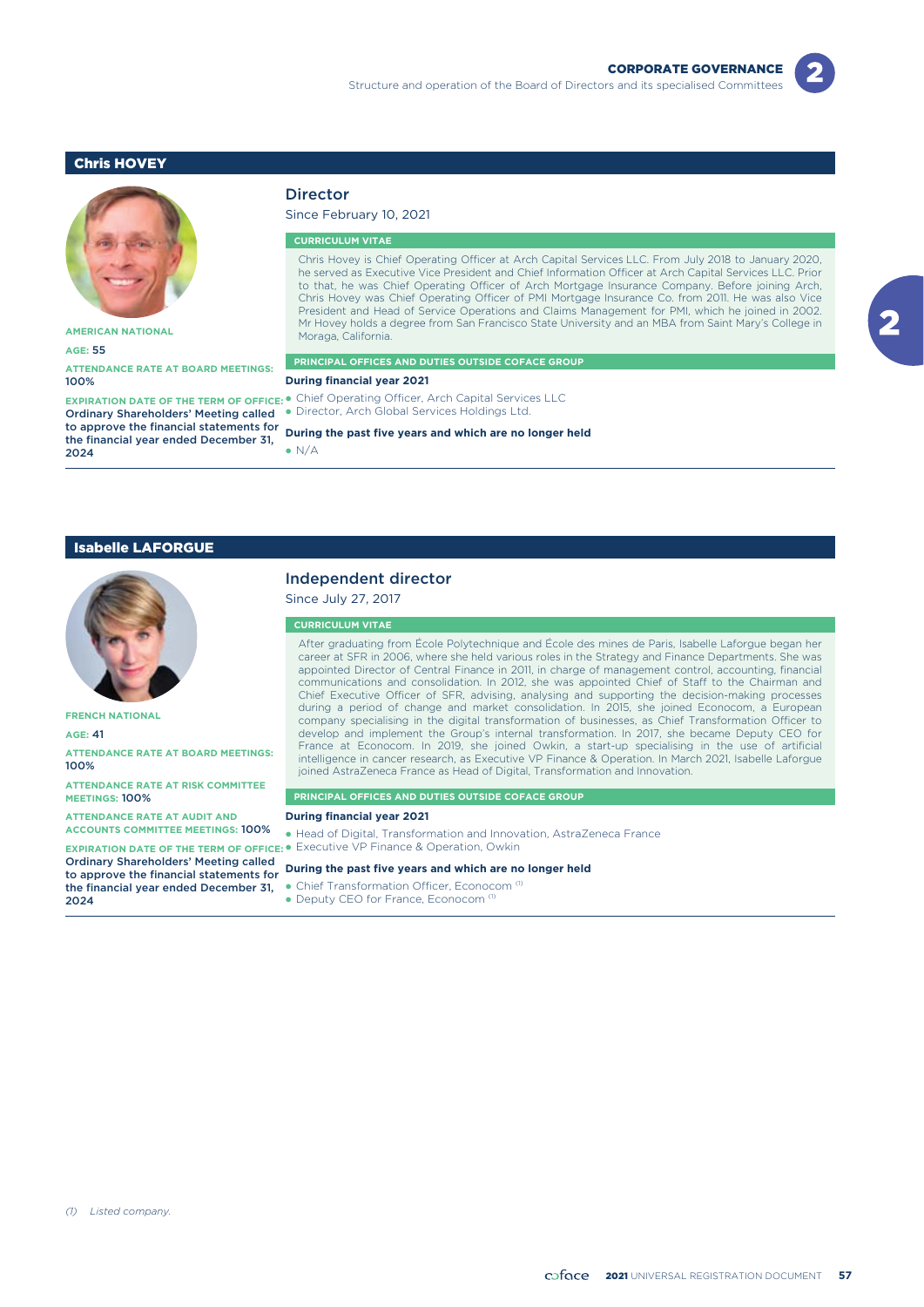# Chris HOVEY



**AMERICAN NATIONAL**

#### **AGE:** 55

**ATTENDANCE RATE AT BOARD MEETINGS:** 100%

Ordinary Shareholders' Meeting called to approve the financial statements for the financial year ended December 31, 2024

## Director

Since February 10, 2021

#### **CURRICULUM VITAE**

Chris Hovey is Chief Operating Officer at Arch Capital Services LLC. From July 2018 to January 2020, he served as Executive Vice President and Chief Information Officer at Arch Capital Services LLC. Prior to that, he was Chief Operating Officer of Arch Mortgage Insurance Company. Before joining Arch, Chris Hovey was Chief Operating Officer of PMI Mortgage Insurance Co. from 2011. He was also Vice President and Head of Service Operations and Claims Management for PMI, which he joined in 2002. Mr Hovey holds a degree from San Francisco State University and an MBA from Saint Mary's College in Moraga, California.

#### **PRINCIPAL OFFICES AND DUTIES OUTSIDE COFACE GROUP**

#### **During financial year 2021**

**EXPIRATION DATE OF THE TERM OF OFFICE: •** Chief Operating Officer, Arch Capital Services LLC - Director, Arch Global Services Holdings Ltd.

#### **During the past five years and which are no longer held**

 $\bullet$  N/A

#### Isabelle LAFORGUE



**FRENCH NATIONAL**

**AGE:** 41

**ATTENDANCE RATE AT BOARD MEETINGS:** 100%

**ATTENDANCE RATE AT RISK COMMITTEE MEETINGS:** 100%

**ATTENDANCE RATE AT AUDIT AND ACCOUNTS COMMITTEE MEETINGS:** 100%

Ordinary Shareholders' Meeting called to approve the financial statements for the financial year ended December 31, 2024

#### Independent director

Since July 27, 2017

### **CURRICULUM VITAE**

After graduating from École Polytechnique and École des mines de Paris, Isabelle Laforgue began her career at SFR in 2006, where she held various roles in the Strategy and Finance Departments. She was appointed Director of Central Finance in 2011, in charge of management control, accounting, financial communications and consolidation. In 2012, she was appointed Chief of Staff to the Chairman and Chief Executive Officer of SFR, advising, analysing and supporting the decision-making processes during a period of change and market consolidation. In 2015, she joined Econocom, a European company specialising in the digital transformation of businesses, as Chief Transformation Officer to develop and implement the Group's internal transformation. In 2017, she became Deputy CEO for France at Econocom. In 2019, she joined Owkin, a start-up specialising in the use of artificial intelligence in cancer research, as Executive VP Finance & Operation. In March 2021, Isabelle Laforgue joined AstraZeneca France as Head of Digital, Transformation and Innovation.

#### **PRINCIPAL OFFICES AND DUTIES OUTSIDE COFACE GROUP**

#### **During financial year 2021**

**EXPIRATION DATE OF THE TERM OF OFFICE: •** Executive VP Finance & Operation, Owkin - Head of Digital, Transformation and Innovation, AstraZeneca France

#### **During the past five years and which are no longer held**

• Chief Transformation Officer, Econocom<sup>(1)</sup>

• Deputy CEO for France, Econocom<sup>(1)</sup>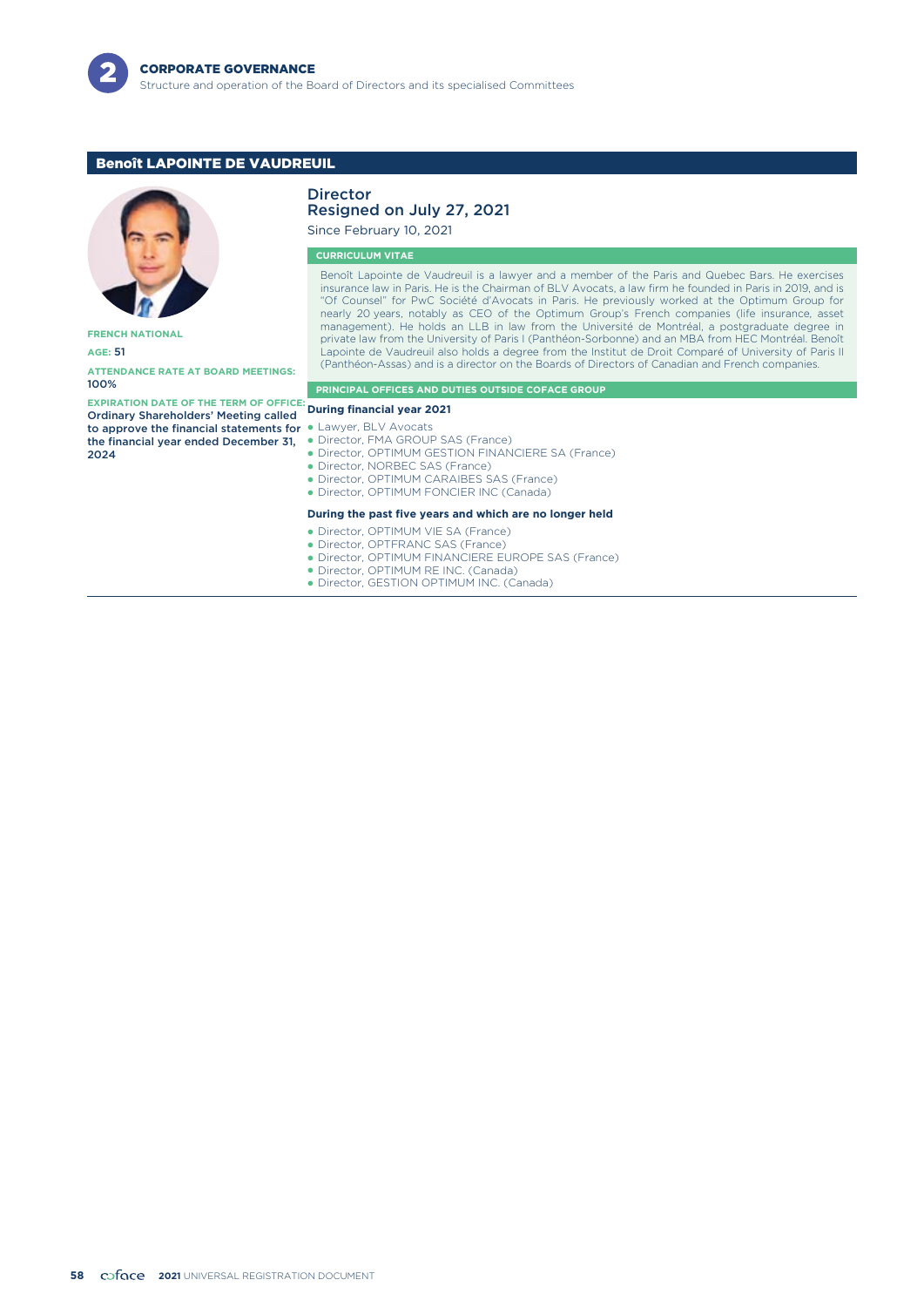

# Benoît LAPOINTE DE VAUDREUIL



**FRENCH NATIONAL**

**AGE:** 51

**ATTENDANCE RATE AT BOARD MEETINGS:** 100%

**EXPIRATION DATE OF THE TERM OF OFFICE: During financial year 2021** Ordinary Shareholders' Meeting called to approve the financial statements for  $\bullet$ the financial year ended December 31,  $2024$ 

# Director

# Resigned on July 27, 2021

Since February 10, 2021

### **CURRICULUM VITAE**

Benoît Lapointe de Vaudreuil is a lawyer and a member of the Paris and Quebec Bars. He exercises insurance law in Paris. He is the Chairman of BLV Avocats, a law firm he founded in Paris in 2019, and is "Of Counsel" for PwC Société d'Avocats in Paris. He previously worked at the Optimum Group for nearly 20 years, notably as CEO of the Optimum Group's French companies (life insurance, asset management). He holds an LLB in law from the Université de Montréal, a postgraduate degree in private law from the University of Paris I (Panthéon-Sorbonne) and an MBA from HEC Montréal. Benoît Lapointe de Vaudreuil also holds a degree from the Institut de Droit Comparé of University of Paris II (Panthéon-Assas) and is a director on the Boards of Directors of Canadian and French companies.

#### **PRINCIPAL OFFICES AND DUTIES OUTSIDE COFACE GROUP**

Lawyer, BLV Avocats

- -Director, FMA GROUP SAS (France)
- Director, OPTIMUM GESTION FINANCIERE SA (France)
- Director, NORBEC SAS (France)
- Director, OPTIMUM CARAIBES SAS (France)
- Director, OPTIMUM FONCIER INC (Canada)

#### **During the past five years and which are no longer held**

- Director, OPTIMUM VIE SA (France)
- Director, OPTFRANC SAS (France)
- Director, OPTIMUM FINANCIERE EUROPE SAS (France)
- Director, OPTIMUM RE INC. (Canada)
- Director, GESTION OPTIMUM INC. (Canada)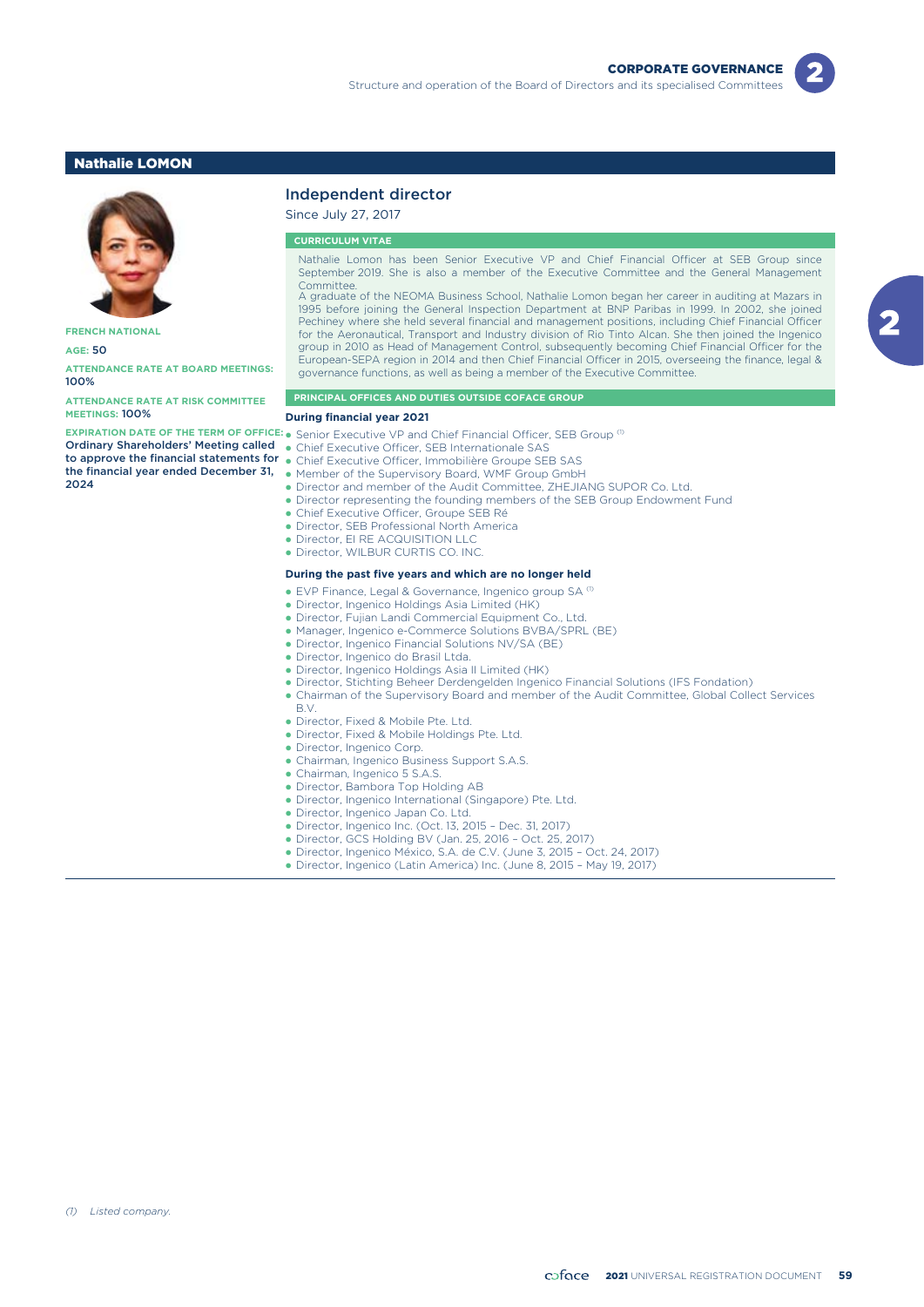### Nathalie LOMON



**FRENCH NATIONAL**

**AGE:** 50

**ATTENDANCE RATE AT BOARD MEETINGS:** 100%

**ATTENDANCE RATE AT RISK COMMITTEE MEETINGS:** 100%

Ordinary Shareholders' Meeting called the financial year ended December 31, 2024

# Independent director

Since July 27, 2017

### **CURRICULUM VITAE**

Nathalie Lomon has been Senior Executive VP and Chief Financial Officer at SEB Group since September 2019. She is also a member of the Executive Committee and the General Management **Committee** 

A graduate of the NEOMA Business School, Nathalie Lomon began her career in auditing at Mazars in 1995 before joining the General Inspection Department at BNP Paribas in 1999. In 2002, she joined Pechiney where she held several financial and management positions, including Chief Financial Officer for the Aeronautical, Transport and Industry division of Rio Tinto Alcan. She then joined the Ingenico group in 2010 as Head of Management Control, subsequently becoming Chief Financial Officer for the European-SEPA region in 2014 and then Chief Financial Officer in 2015, overseeing the finance, legal & governance functions, as well as being a member of the Executive Committee.

#### **PRINCIPAL OFFICES AND DUTIES OUTSIDE COFACE GROUP**

#### **During financial year 2021**

**EXPIRATION DATE OF THE TERM OF OFFICE:** Senior Executive VP and Chief Financial Officer, SEB Group (1) -

- Chief Executive Officer, SEB Internationale SAS
- **to approve the financial statements for •** Chief Executive Officer, Immobilière Groupe SEB SAS
	- - Member of the Supervisory Board, WMF Group GmbH
		- Director and member of the Audit Committee, ZHEJIANG SUPOR Co. Ltd.
		- Director representing the founding members of the SEB Group Endowment Fund
	- Chief Executive Officer, Groupe SEB Ré
	- Director, SEB Professional North America
	- Director, EI RE ACQUISITION LLC
	- Director, WILBUR CURTIS CO. INC.

#### **During the past five years and which are no longer held**

- $\bullet$  EVP Finance, Legal & Governance, Ingenico group SA  $^\text{\tiny{(1)}}$
- -Director, Ingenico Holdings Asia Limited (HK)
- Director, Fujian Landi Commercial Equipment Co., Ltd.
- -Manager, Ingenico e-Commerce Solutions BVBA/SPRL (BE)
- Director, Ingenico Financial Solutions NV/SA (BE)
- · Director, Ingenico do Brasil Ltda.
- Director, Ingenico Holdings Asia II Limited (HK)
- Director, Stichting Beheer Derdengelden Ingenico Financial Solutions (IFS Fondation)
- Chairman of the Supervisory Board and member of the Audit Committee, Global Collect Services
- B.V.

-

-

- Director, Fixed & Mobile Pte. Ltd.
- Director, Fixed & Mobile Holdings Pte. Ltd.
- Director, Ingenico Corp.
- Chairman, Ingenico Business Support S.A.S.
- Chairman, Ingenico 5 S.A.S.
- Director, Bambora Top Holding AB
- Director, Ingenico International (Singapore) Pte. Ltd.
- · Director, Ingenico Japan Co. Ltd.
- Director, Ingenico Inc. (Oct. 13, 2015 Dec. 31, 2017)
- Director, GCS Holding BV (Jan. 25, 2016 Oct. 25, 2017)
- Director, Ingenico México, S.A. de C.V. (June 3, 2015 Oct. 24, 2017)
- Director, Ingenico (Latin America) Inc. (June 8, 2015 May 19, 2017)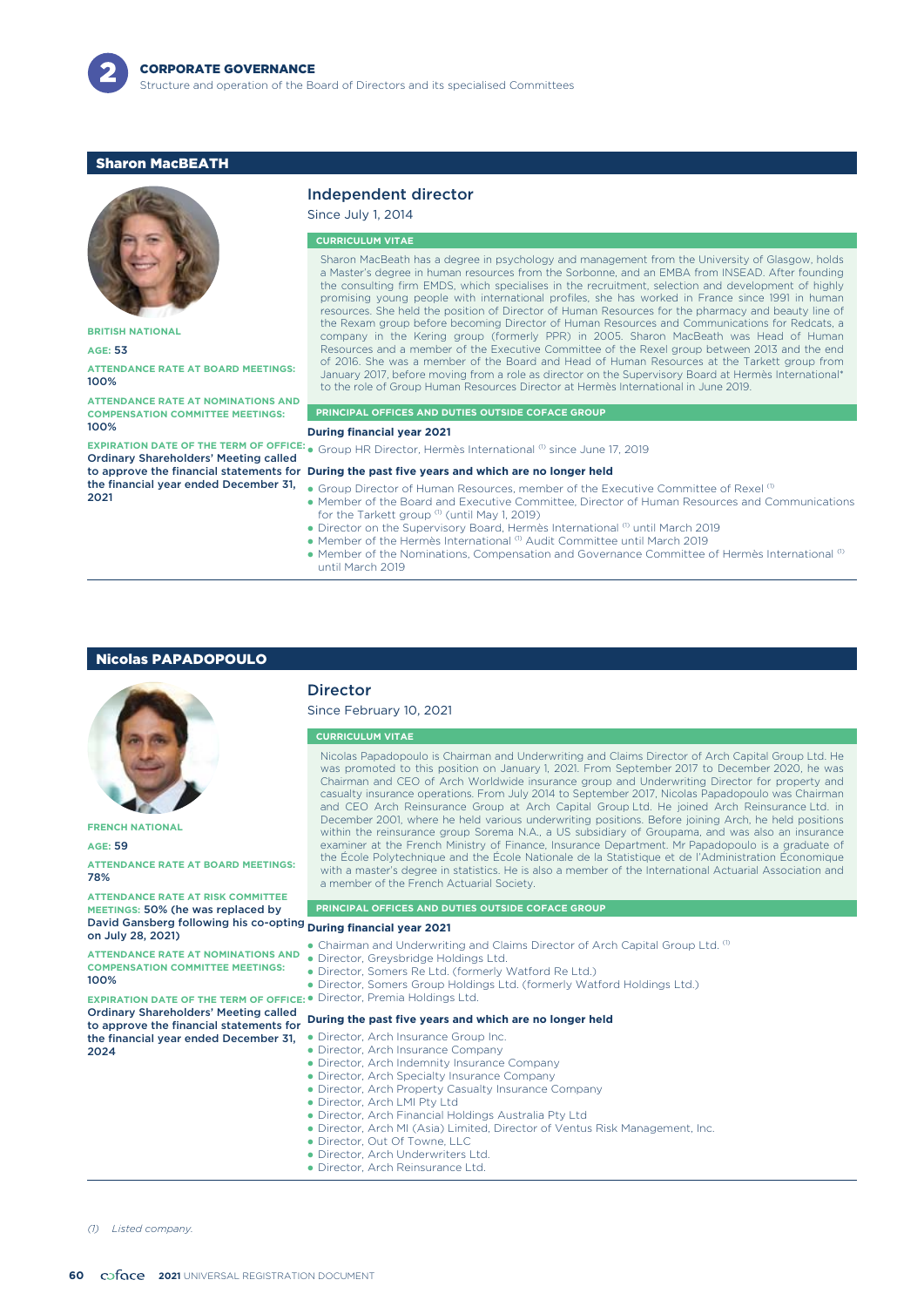

# Sharon MacBEATH



**BRITISH NATIONAL**

**AGE:** 53

**ATTENDANCE RATE AT BOARD MEETINGS:** 100%

**ATTENDANCE RATE AT NOMINATIONS AND COMPENSATION COMMITTEE MEETINGS:** 100%

Ordinary Shareholders' Meeting called the financial year ended December 31, 2021

### Independent director

Since July 1, 2014

### **CURRICULUM VITAE**

Sharon MacBeath has a degree in psychology and management from the University of Glasgow, holds a Master's degree in human resources from the Sorbonne, and an EMBA from INSEAD. After founding the consulting firm EMDS, which specialises in the recruitment, selection and development of highly promising young people with international profiles, she has worked in France since 1991 in human resources. She held the position of Director of Human Resources for the pharmacy and beauty line of the Rexam group before becoming Director of Human Resources and Communications for Redcats, a company in the Kering group (formerly PPR) in 2005. Sharon MacBeath was Head of Human Resources and a member of the Executive Committee of the Rexel group between 2013 and the end of 2016. She was a member of the Board and Head of Human Resources at the Tarkett group from January 2017, before moving from a role as director on the Supervisory Board at Hermès International\* to the role of Group Human Resources Director at Hermès International in June 2019.

#### **PRINCIPAL OFFICES AND DUTIES OUTSIDE COFACE GROUP**

#### **During financial year 2021**

**EXPIRATION DATE OF THE TERM OF OFFICE:**  $_{\bullet}$  Group HR Director, Hermès International <sup>(1)</sup> since June 17, 2019

#### to approve the financial statements for **During the past five years and which are no longer held**

- Group Director of Human Resources, member of the Executive Committee of Rexel  $0$ - Member of the Board and Executive Committee, Director of Human Resources and Communications
	- for the Tarkett group (1) (until May 1, 2019)
- Director on the Supervisory Board, Hermès International <sup>(1)</sup> until March 2019
- Member of the Hermès International (1) Audit Committee until March 2019
- $\bullet$  Member of the Nominations, Compensation and Governance Committee of Hermès International  $^\text{\tiny{(I)}}$ until March 2019

### Nicolas PAPADOPOULO



**FRENCH NATIONAL**

#### **AGE:** 59

**ATTENDANCE RATE AT BOARD MEETINGS:** 78%

**ATTENDANCE RATE AT RISK COMMITTEE MEETINGS:** 50% (he was replaced by David Gansberg following his co-opting **During financial year 2021** on July 28, 2021)

**ATTENDANCE RATE AT NOMINATIONS AND COMPENSATION COMMITTEE MEETINGS:** 100%

**EXPIRATION DATE OF THE TERM OF OFFICE:** Ordinary Shareholders' Meeting called to approve the financial statements for **During the past five years and which are no longer held** the financial year ended December 31, 2024

### **Director**

Since February 10, 2021

#### **CURRICULUM VITAE**

Nicolas Papadopoulo is Chairman and Underwriting and Claims Director of Arch Capital Group Ltd. He was promoted to this position on January 1, 2021. From September 2017 to December 2020, he was Chairman and CEO of Arch Worldwide insurance group and Underwriting Director for property and casualty insurance operations. From July 2014 to September 2017, Nicolas Papadopoulo was Chairman and CEO Arch Reinsurance Group at Arch Capital Group Ltd. He joined Arch Reinsurance Ltd. in December 2001, where he held various underwriting positions. Before joining Arch, he held positions within the reinsurance group Sorema N.A., a US subsidiary of Groupama, and was also an insurance examiner at the French Ministry of Finance, Insurance Department. Mr Papadopoulo is a graduate of the École Polytechnique and the École Nationale de la Statistique et de l'Administration Économique with a master's degree in statistics. He is also a member of the International Actuarial Association and a member of the French Actuarial Society.

#### **PRINCIPAL OFFICES AND DUTIES OUTSIDE COFACE GROUP**

- Chairman and Underwriting and Claims Director of Arch Capital Group Ltd. (1)
- -Director, Greysbridge Holdings Ltd.
- -Director, Somers Re Ltd. (formerly Watford Re Ltd.)
- -Director, Somers Group Holdings Ltd. (formerly Watford Holdings Ltd.)
- Director, Premia Holdings Ltd.

- -Director, Arch Insurance Group Inc.
- -Director, Arch Insurance Company
- -Director, Arch Indemnity Insurance Company
- -Director, Arch Specialty Insurance Company
- Director, Arch Property Casualty Insurance Company
- -Director, Arch LMI Pty Ltd

-

- Director, Arch Financial Holdings Australia Pty Ltd
- Director, Arch MI (Asia) Limited, Director of Ventus Risk Management, Inc.
- -Director, Out Of Towne, LLC
- · Director, Arch Underwriters Ltd.
- Director, Arch Reinsurance Ltd.

*(1) Listed company.*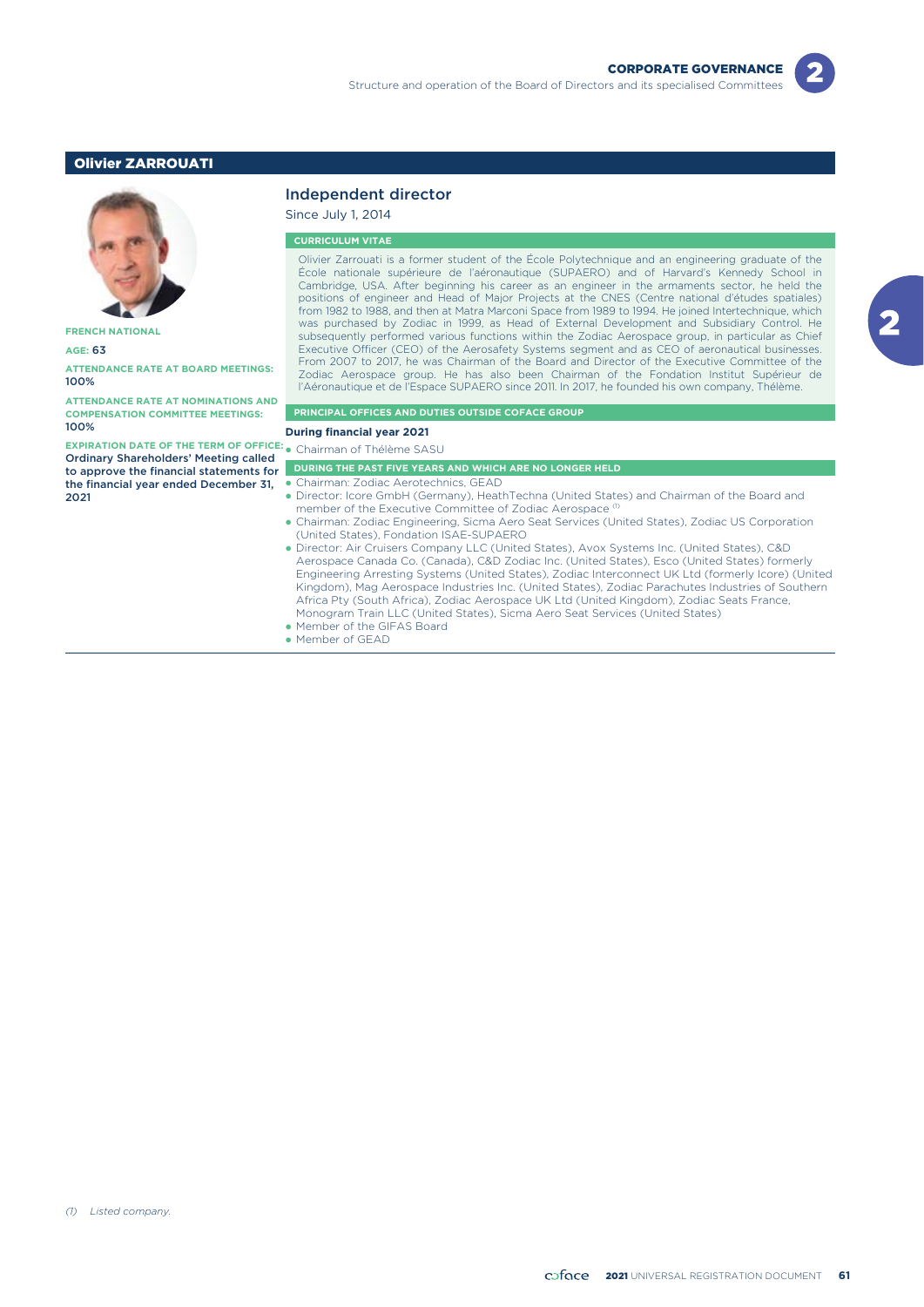# Olivier ZARROUATI



**FRENCH NATIONAL**

**AGE:** 63

**ATTENDANCE RATE AT BOARD MEETINGS:** 100%

**ATTENDANCE RATE AT NOMINATIONS AND COMPENSATION COMMITTEE MEETINGS:** 100%

**EXPIRATION DATE OF THE TERM OF OFFICE:** • Chairman of Thélème SASU Ordinary Shareholders' Meeting called to approve the financial statements for the financial year ended December 31, 2021

## Independent director

Since July 1, 2014

#### **CURRICULUM VITAE**

Olivier Zarrouati is a former student of the École Polytechnique and an engineering graduate of the École nationale supérieure de l'aéronautique (SUPAERO) and of Harvard's Kennedy School in Cambridge, USA. After beginning his career as an engineer in the armaments sector, he held the positions of engineer and Head of Major Projects at the CNES (Centre national d'études spatiales) from 1982 to 1988, and then at Matra Marconi Space from 1989 to 1994. He joined Intertechnique, which was purchased by Zodiac in 1999, as Head of External Development and Subsidiary Control. He subsequently performed various functions within the Zodiac Aerospace group, in particular as Chief Executive Officer (CEO) of the Aerosafety Systems segment and as CEO of aeronautical businesses. From 2007 to 2017, he was Chairman of the Board and Director of the Executive Committee of the Zodiac Aerospace group. He has also been Chairman of the Fondation Institut Supérieur de l'Aéronautique et de l'Espace SUPAERO since 2011. In 2017, he founded his own company, Thélème.

#### **PRINCIPAL OFFICES AND DUTIES OUTSIDE COFACE GROUP**

**During financial year 2021**

| <b>DURING THE PAST FIVE YEARS AND WHICH ARE NO LONGER HELD</b> |
|----------------------------------------------------------------|
|                                                                |

- Chairman: Zodiac Aerotechnics, GEAD
- Director: Icore GmbH (Germany), HeathTechna (United States) and Chairman of the Board and member of the Executive Committee of Zodiac Aerospace<sup>(1</sup>)
- Chairman: Zodiac Engineering, Sicma Aero Seat Services (United States), Zodiac US Corporation (United States), Fondation ISAE-SUPAERO
- Director: Air Cruisers Company LLC (United States), Avox Systems Inc. (United States), C&D Aerospace Canada Co. (Canada), C&D Zodiac Inc. (United States), Esco (United States) formerly Engineering Arresting Systems (United States), Zodiac Interconnect UK Ltd (formerly Icore) (United Kingdom), Mag Aerospace Industries Inc. (United States), Zodiac Parachutes Industries of Southern Africa Pty (South Africa), Zodiac Aerospace UK Ltd (United Kingdom), Zodiac Seats France, Monogram Train LLC (United States), Sicma Aero Seat Services (United States)
- Member of the GIFAS Board
- Member of GEAD

-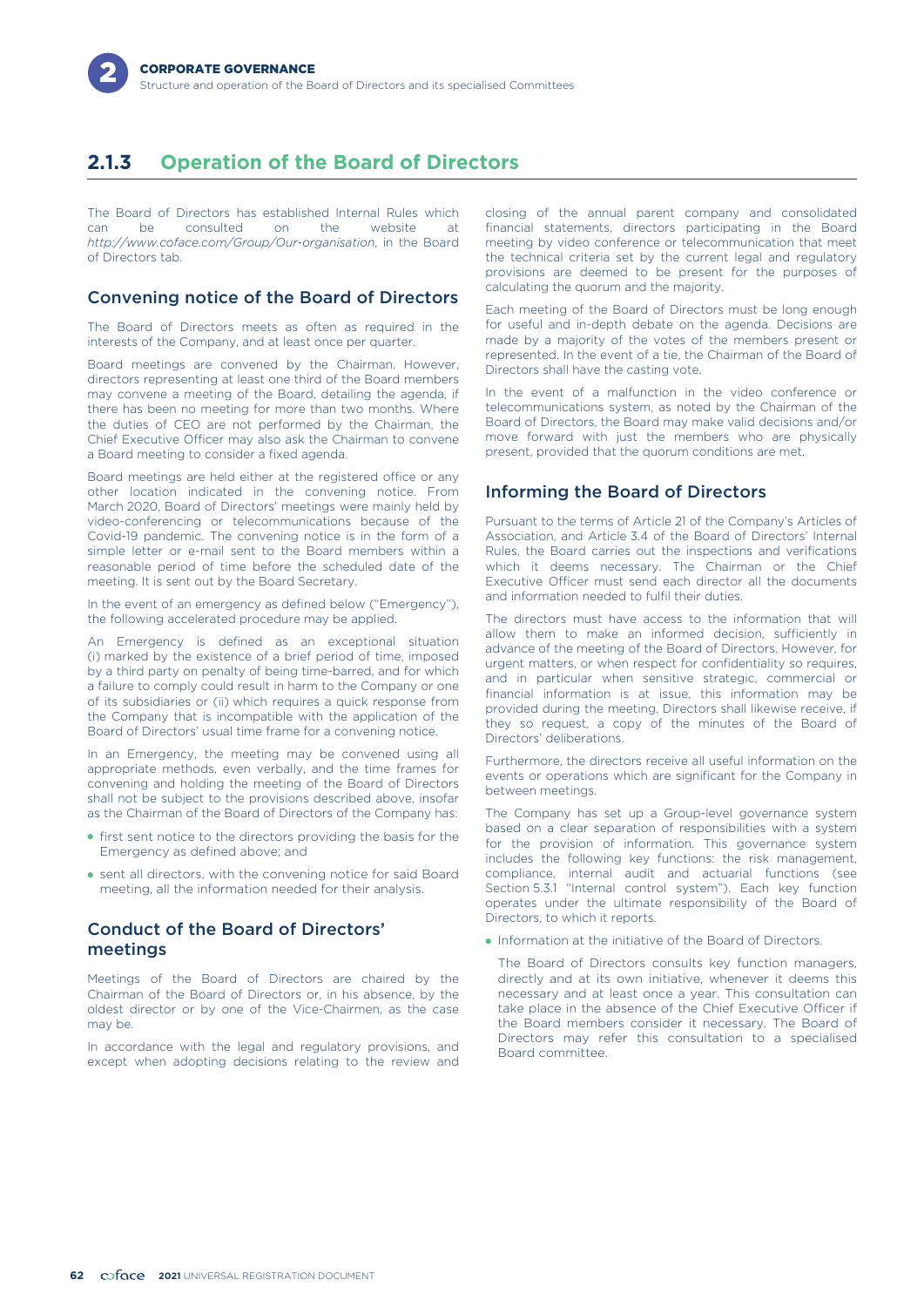# **2.1.3 Operation of the Board of Directors**

The Board of Directors has established Internal Rules which<br>can be consulted on the website at can be consulted on the website at *http://www.coface.com/Group/Our-organisation*, in the Board of Directors tab.

# Convening notice of the Board of Directors

The Board of Directors meets as often as required in the interests of the Company, and at least once per quarter.

Board meetings are convened by the Chairman. However, directors representing at least one third of the Board members may convene a meeting of the Board, detailing the agenda, if there has been no meeting for more than two months. Where the duties of CEO are not performed by the Chairman, the Chief Executive Officer may also ask the Chairman to convene a Board meeting to consider a fixed agenda.

Board meetings are held either at the registered office or any other location indicated in the convening notice. From March 2020, Board of Directors' meetings were mainly held by video-conferencing or telecommunications because of the Covid-19 pandemic. The convening notice is in the form of a simple letter or e-mail sent to the Board members within a reasonable period of time before the scheduled date of the meeting. It is sent out by the Board Secretary.

In the event of an emergency as defined below ("Emergency"), the following accelerated procedure may be applied.

An Emergency is defined as an exceptional situation (i) marked by the existence of a brief period of time, imposed by a third party on penalty of being time-barred, and for which a failure to comply could result in harm to the Company or one of its subsidiaries or (ii) which requires a quick response from the Company that is incompatible with the application of the Board of Directors' usual time frame for a convening notice.

In an Emergency, the meeting may be convened using all appropriate methods, even verbally, and the time frames for convening and holding the meeting of the Board of Directors shall not be subject to the provisions described above, insofar as the Chairman of the Board of Directors of the Company has:

- first sent notice to the directors providing the basis for the Emergency as defined above; and
- sent all directors, with the convening notice for said Board meeting, all the information needed for their analysis.

# Conduct of the Board of Directors' meetings

Meetings of the Board of Directors are chaired by the Chairman of the Board of Directors or, in his absence, by the oldest director or by one of the Vice-Chairmen, as the case may be.

In accordance with the legal and regulatory provisions, and except when adopting decisions relating to the review and

closing of the annual parent company and consolidated financial statements, directors participating in the Board meeting by video conference or telecommunication that meet the technical criteria set by the current legal and regulatory provisions are deemed to be present for the purposes of calculating the quorum and the majority.

Each meeting of the Board of Directors must be long enough for useful and in-depth debate on the agenda. Decisions are made by a majority of the votes of the members present or represented. In the event of a tie, the Chairman of the Board of Directors shall have the casting vote.

In the event of a malfunction in the video conference or telecommunications system, as noted by the Chairman of the Board of Directors, the Board may make valid decisions and/or move forward with just the members who are physically present, provided that the quorum conditions are met.

# Informing the Board of Directors

Pursuant to the terms of Article 21 of the Company's Articles of Association, and Article 3.4 of the Board of Directors' Internal Rules, the Board carries out the inspections and verifications which it deems necessary. The Chairman or the Chief Executive Officer must send each director all the documents and information needed to fulfil their duties.

The directors must have access to the information that will allow them to make an informed decision, sufficiently in advance of the meeting of the Board of Directors. However, for urgent matters, or when respect for confidentiality so requires, and in particular when sensitive strategic, commercial or financial information is at issue, this information may be provided during the meeting. Directors shall likewise receive, if they so request, a copy of the minutes of the Board of Directors' deliberations.

Furthermore, the directors receive all useful information on the events or operations which are significant for the Company in between meetings.

The Company has set up a Group-level governance system based on a clear separation of responsibilities with a system for the provision of information. This governance system includes the following key functions: the risk management, compliance, internal audit and actuarial functions (see Section 5.3.1 "Internal control system"). Each key function operates under the ultimate responsibility of the Board of Directors, to which it reports.

- Information at the initiative of the Board of Directors.

The Board of Directors consults key function managers, directly and at its own initiative, whenever it deems this necessary and at least once a year. This consultation can take place in the absence of the Chief Executive Officer if the Board members consider it necessary. The Board of Directors may refer this consultation to a specialised Board committee.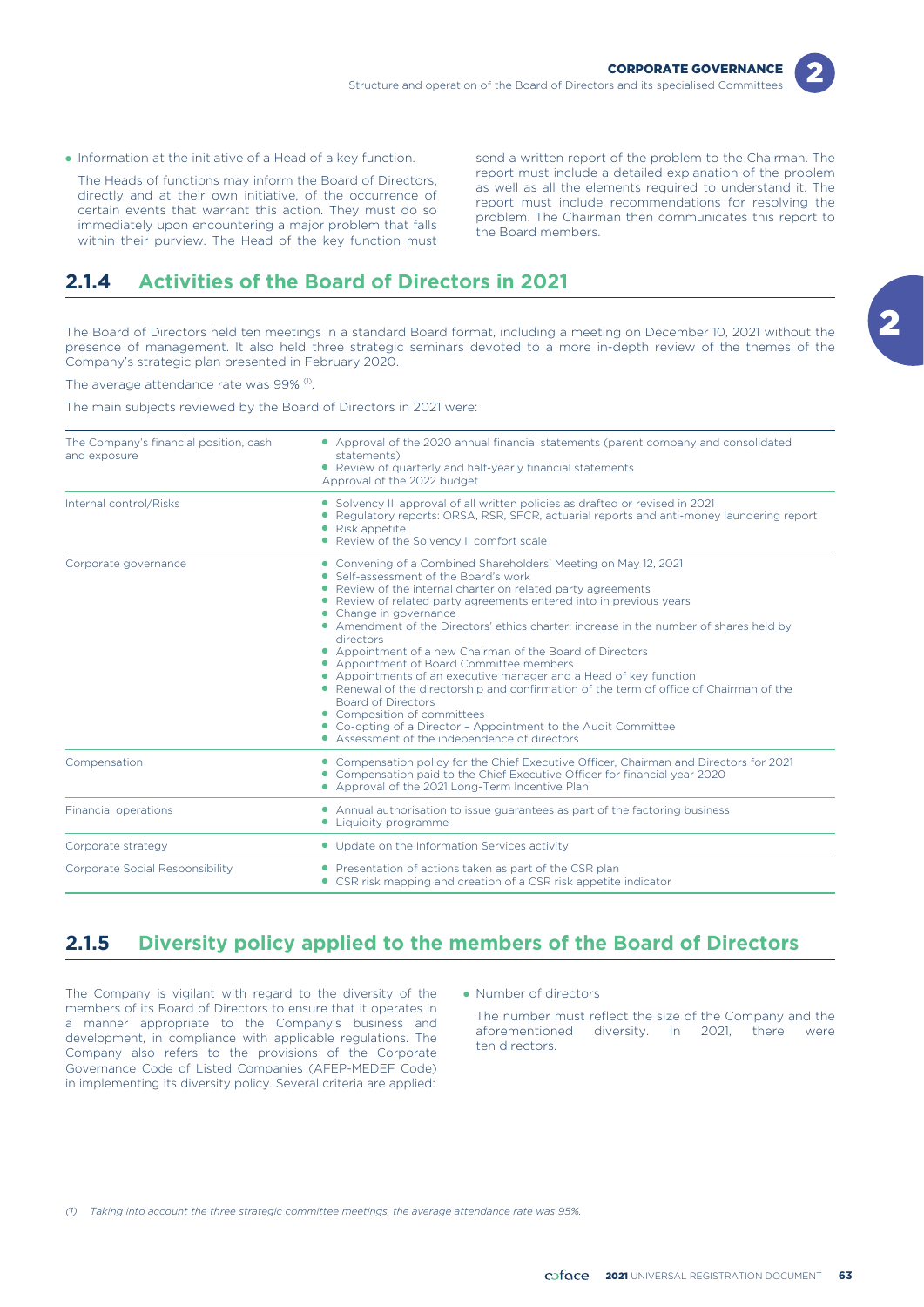

- Information at the initiative of a Head of a key function. send a written report of the problem to the Chairman. The The Heads of functions may inform the Board of Directors,<br>directly and at their own initiative, of the occurrence of<br>certain events that warrant this action. They must do so<br>immediately upon encountering a major problem th

# **2.1.4 Activities of the Board of Directors in 2021**

The Board of Directors held ten meetings in a standard Board format, including a meeting on December 10, 2021 without the presence of management. It also held three strategic seminars devoted to a more in-depth review of the themes of the Company's strategic plan presented in February 2020.

The average attendance rate was 99% (1).

The main subjects reviewed by the Board of Directors in 2021 were:

| The Company's financial position, cash<br>and exposure | • Approval of the 2020 annual financial statements (parent company and consolidated<br>statements)<br>• Review of quarterly and half-yearly financial statements<br>Approval of the 2022 budget                                                                                                                                                                                                                                                                                                                                                                                                                                                                                                                                                                                                                                          |  |  |  |  |
|--------------------------------------------------------|------------------------------------------------------------------------------------------------------------------------------------------------------------------------------------------------------------------------------------------------------------------------------------------------------------------------------------------------------------------------------------------------------------------------------------------------------------------------------------------------------------------------------------------------------------------------------------------------------------------------------------------------------------------------------------------------------------------------------------------------------------------------------------------------------------------------------------------|--|--|--|--|
| Internal control/Risks                                 | • Solvency II: approval of all written policies as drafted or revised in 2021<br>Regulatory reports: ORSA, RSR, SFCR, actuarial reports and anti-money laundering report<br>• Risk appetite<br>• Review of the Solvency II comfort scale                                                                                                                                                                                                                                                                                                                                                                                                                                                                                                                                                                                                 |  |  |  |  |
| Corporate governance                                   | • Convening of a Combined Shareholders' Meeting on May 12, 2021<br>• Self-assessment of the Board's work<br>• Review of the internal charter on related party agreements<br>• Review of related party agreements entered into in previous years<br>• Change in governance<br>• Amendment of the Directors' ethics charter: increase in the number of shares held by<br>directors<br>• Appointment of a new Chairman of the Board of Directors<br>• Appointment of Board Committee members<br>• Appointments of an executive manager and a Head of key function<br>• Renewal of the directorship and confirmation of the term of office of Chairman of the<br><b>Board of Directors</b><br>• Composition of committees<br>• Co-opting of a Director - Appointment to the Audit Committee<br>• Assessment of the independence of directors |  |  |  |  |
| Compensation                                           | • Compensation policy for the Chief Executive Officer, Chairman and Directors for 2021<br>• Compensation paid to the Chief Executive Officer for financial year 2020<br>• Approval of the 2021 Long-Term Incentive Plan                                                                                                                                                                                                                                                                                                                                                                                                                                                                                                                                                                                                                  |  |  |  |  |
| Financial operations                                   | • Annual authorisation to issue guarantees as part of the factoring business<br>• Liquidity programme                                                                                                                                                                                                                                                                                                                                                                                                                                                                                                                                                                                                                                                                                                                                    |  |  |  |  |
| Corporate strategy                                     | • Update on the Information Services activity                                                                                                                                                                                                                                                                                                                                                                                                                                                                                                                                                                                                                                                                                                                                                                                            |  |  |  |  |
| Corporate Social Responsibility                        | • Presentation of actions taken as part of the CSR plan<br>• CSR risk mapping and creation of a CSR risk appetite indicator                                                                                                                                                                                                                                                                                                                                                                                                                                                                                                                                                                                                                                                                                                              |  |  |  |  |

# **2.1.5 Diversity policy applied to the members of the Board of Directors**

The Company is vigilant with regard to the diversity of the members of its Board of Directors to ensure that it operates in a manner appropriate to the Company's business and development, in compliance with applicable regulations. The Company also refers to the provisions of the Corporate Governance Code of Listed Companies (AFEP-MEDEF Code) in implementing its diversity policy. Several criteria are applied:

• Number of directors

The number must reflect the size of the Company and the aforementioned diversity. In 2021, there were ten directors.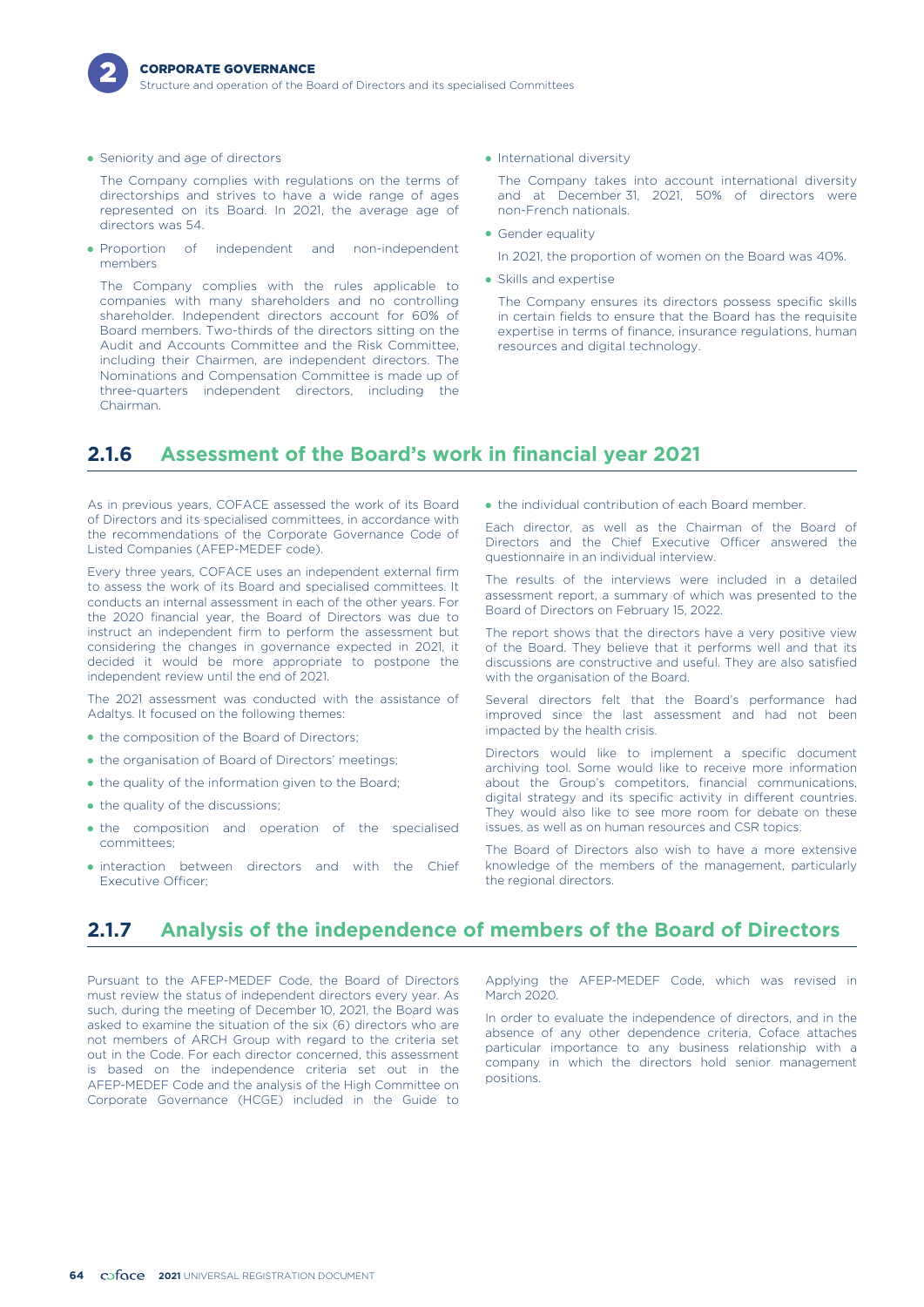

• Seniority and age of directors

The Company complies with regulations on the terms of directorships and strives to have a wide range of ages represented on its Board. In 2021, the average age of directors was 54.

- Proportion of independent and non-independent members

The Company complies with the rules applicable to companies with many shareholders and no controlling shareholder. Independent directors account for 60% of Board members. Two-thirds of the directors sitting on the Audit and Accounts Committee and the Risk Committee, including their Chairmen, are independent directors. The Nominations and Compensation Committee is made up of three-quarters independent directors, including the Chairman.

• International diversity

The Company takes into account international diversity and at December 31, 2021, 50% of directors were non-French nationals.

• Gender equality

In 2021, the proportion of women on the Board was 40%.

• Skills and expertise

The Company ensures its directors possess specific skills in certain fields to ensure that the Board has the requisite expertise in terms of finance, insurance regulations, human resources and digital technology.

# **2.1.6 Assessment of the Board's work in financial year 2021**

As in previous years, COFACE assessed the work of its Board of Directors and its specialised committees, in accordance with the recommendations of the Corporate Governance Code of Listed Companies (AFEP-MEDEF code).

Every three years, COFACE uses an independent external firm to assess the work of its Board and specialised committees. It conducts an internal assessment in each of the other years. For the 2020 financial year, the Board of Directors was due to instruct an independent firm to perform the assessment but considering the changes in governance expected in 2021, it decided it would be more appropriate to postpone the independent review until the end of 2021.

The 2021 assessment was conducted with the assistance of Adaltys. It focused on the following themes:

- the composition of the Board of Directors;
- the organisation of Board of Directors' meetings;
- the quality of the information given to the Board;
- the quality of the discussions;
- the composition and operation of the specialised committees;
- interaction between directors and with the Chief Executive Officer;

• the individual contribution of each Board member.

Each director, as well as the Chairman of the Board of Directors and the Chief Executive Officer answered the questionnaire in an individual interview.

The results of the interviews were included in a detailed assessment report, a summary of which was presented to the Board of Directors on February 15, 2022.

The report shows that the directors have a very positive view of the Board. They believe that it performs well and that its discussions are constructive and useful. They are also satisfied with the organisation of the Board.

Several directors felt that the Board's performance had improved since the last assessment and had not been impacted by the health crisis.

Directors would like to implement a specific document archiving tool. Some would like to receive more information about the Group's competitors, financial communications, digital strategy and its specific activity in different countries. They would also like to see more room for debate on these issues, as well as on human resources and CSR topics.

The Board of Directors also wish to have a more extensive knowledge of the members of the management, particularly the regional directors.

# **2.1.7 Analysis of the independence of members of the Board of Directors**

Pursuant to the AFEP-MEDEF Code, the Board of Directors Applying the AFEP-MEDEF Code, which was revised in must review the status of independent directors every year. As March 2020. such, during the meeting of December 10, 2021, the Board was asked to examine the situation of the six (6) directors who are not members of ARCH Group with regard to the criteria set out in the Code. For each director concerned, this assessment is based on the independence criteria set out in the AFEP-MEDEF Code and the analysis of the High Committee on Corporate Governance (HCGE) included in the Guide to

In order to evaluate the independence of directors, and in the absence of any other dependence criteria, Coface attaches particular importance to any business relationship with a company in which the directors hold senior management positions.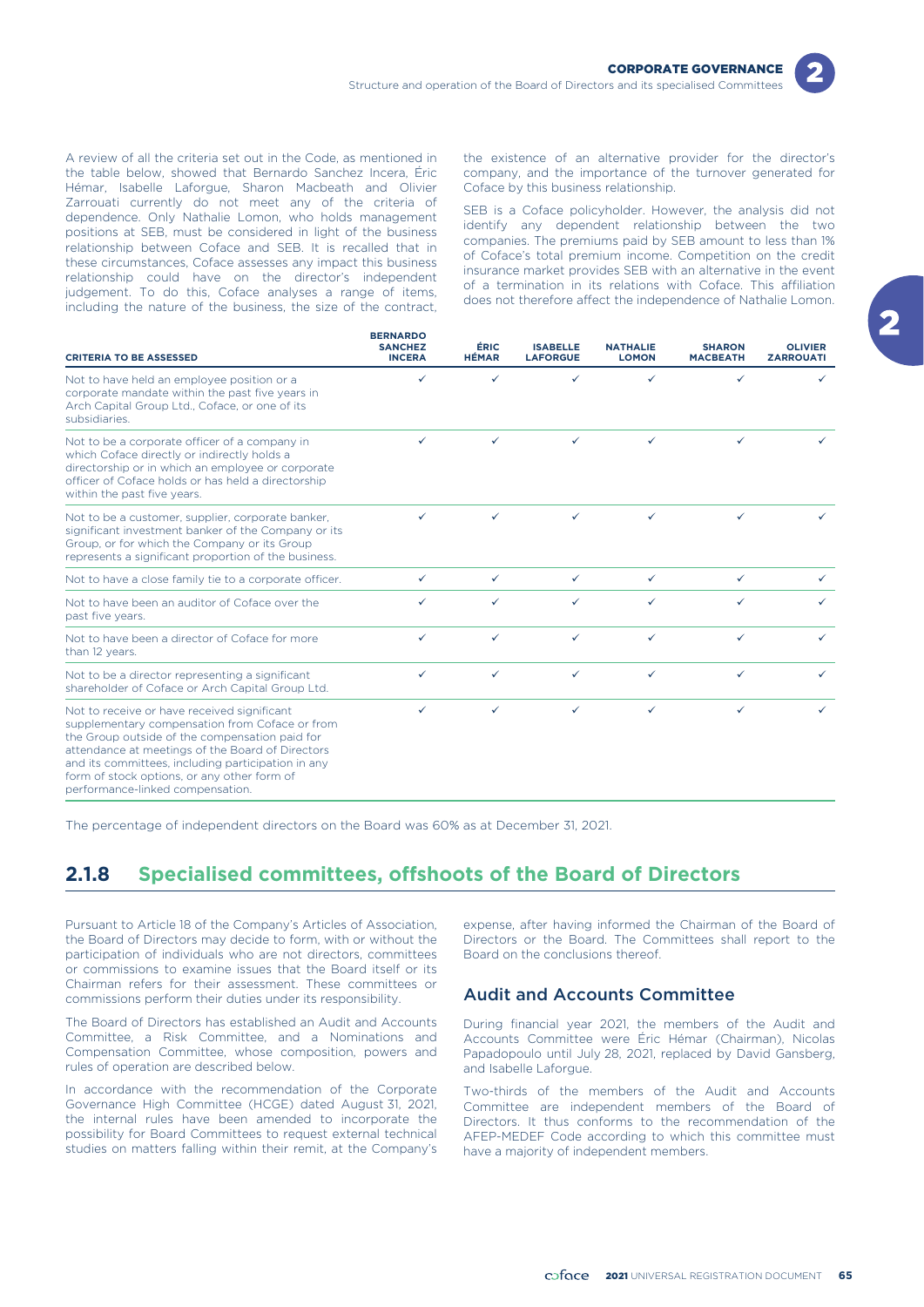

the table below, showed that Bernardo Sanchez Incera, Éric company, and the importance of the turnover generated for Hémar, Isabelle Laforgue, Sharon Macbeath and Olivier Coface by this business relationship. Zarrouati currently do not meet any of the criteria of dependence. Only Nathalie Lomon, who holds management positions at SEB, must be considered in light of the business relationship between Coface and SEB. It is recalled that in these circumstances, Coface assesses any impact this business relationship could have on the director's independent judgement. To do this, Coface analyses a range of items, including the nature of the business, the size of the contract,

A review of all the criteria set out in the Code, as mentioned in the existence of an alternative provider for the director's

SEB is a Coface policyholder. However, the analysis did not identify any dependent relationship between the two companies. The premiums paid by SEB amount to less than 1% of Coface's total premium income. Competition on the credit insurance market provides SEB with an alternative in the event of a termination in its relations with Coface. This affiliation does not therefore affect the independence of Nathalie Lomon.

| <b>CRITERIA TO BE ASSESSED</b>                                                                                                                                                                                                                                                                                                               | <b>BERNARDO</b><br><b>SANCHEZ</b><br><b>INCERA</b> | ÉRIC<br><b>HÉMAR</b> | <b>ISABELLE</b><br><b>LAFORGUE</b> | <b>NATHALIE</b><br><b>LOMON</b> | <b>SHARON</b><br><b>MACBEATH</b> | <b>OLIVIER</b><br><b>ZARROUATI</b> |
|----------------------------------------------------------------------------------------------------------------------------------------------------------------------------------------------------------------------------------------------------------------------------------------------------------------------------------------------|----------------------------------------------------|----------------------|------------------------------------|---------------------------------|----------------------------------|------------------------------------|
| Not to have held an employee position or a<br>corporate mandate within the past five years in<br>Arch Capital Group Ltd., Coface, or one of its<br>subsidiaries.                                                                                                                                                                             | ✓                                                  | ✓                    | ✓                                  | ✓                               | ✓                                |                                    |
| Not to be a corporate officer of a company in<br>which Coface directly or indirectly holds a<br>directorship or in which an employee or corporate<br>officer of Coface holds or has held a directorship<br>within the past five years.                                                                                                       | ✓                                                  | ✓                    | ✓                                  | $\checkmark$                    | ✓                                |                                    |
| Not to be a customer, supplier, corporate banker,<br>significant investment banker of the Company or its<br>Group, or for which the Company or its Group<br>represents a significant proportion of the business.                                                                                                                             | ✓                                                  | ✓                    | $\checkmark$                       | $\checkmark$                    | ✓                                |                                    |
| Not to have a close family tie to a corporate officer.                                                                                                                                                                                                                                                                                       | $\checkmark$                                       | $\checkmark$         | $\checkmark$                       | $\checkmark$                    | $\checkmark$                     | ✓                                  |
| Not to have been an auditor of Coface over the<br>past five years.                                                                                                                                                                                                                                                                           | ✓                                                  | ✓                    | $\checkmark$                       | $\checkmark$                    | ✓                                | ✓                                  |
| Not to have been a director of Coface for more<br>than 12 years.                                                                                                                                                                                                                                                                             | ✓                                                  | ✓                    | $\checkmark$                       | $\checkmark$                    | ✓                                | ✓                                  |
| Not to be a director representing a significant<br>shareholder of Coface or Arch Capital Group Ltd.                                                                                                                                                                                                                                          | ✓                                                  | ✓                    | ✓                                  | ✓                               | ✓                                | ✓                                  |
| Not to receive or have received significant<br>supplementary compensation from Coface or from<br>the Group outside of the compensation paid for<br>attendance at meetings of the Board of Directors<br>and its committees, including participation in any<br>form of stock options, or any other form of<br>performance-linked compensation. | ✓                                                  | ✓                    | ✓                                  | ✓                               | ✓                                | ✓                                  |

The percentage of independent directors on the Board was 60% as at December 31, 2021.

# **2.1.8 Specialised committees, offshoots of the Board of Directors**

Pursuant to Article 18 of the Company's Articles of Association, the Board of Directors may decide to form, with or without the participation of individuals who are not directors, committees or commissions to examine issues that the Board itself or its Chairman refers for their assessment. These committees or commissions perform their duties under its responsibility.

The Board of Directors has established an Audit and Accounts Committee, a Risk Committee, and a Nominations and Compensation Committee, whose composition, powers and rules of operation are described below.

In accordance with the recommendation of the Corporate Governance High Committee (HCGE) dated August 31, 2021, the internal rules have been amended to incorporate the possibility for Board Committees to request external technical studies on matters falling within their remit, at the Company's

expense, after having informed the Chairman of the Board of Directors or the Board. The Committees shall report to the Board on the conclusions thereof.

# Audit and Accounts Committee

During financial year 2021, the members of the Audit and Accounts Committee were Éric Hémar (Chairman), Nicolas Papadopoulo until July 28, 2021, replaced by David Gansberg, and Isabelle Laforgue.

Two-thirds of the members of the Audit and Accounts Committee are independent members of the Board of Directors. It thus conforms to the recommendation of the AFEP-MEDEF Code according to which this committee must have a majority of independent members.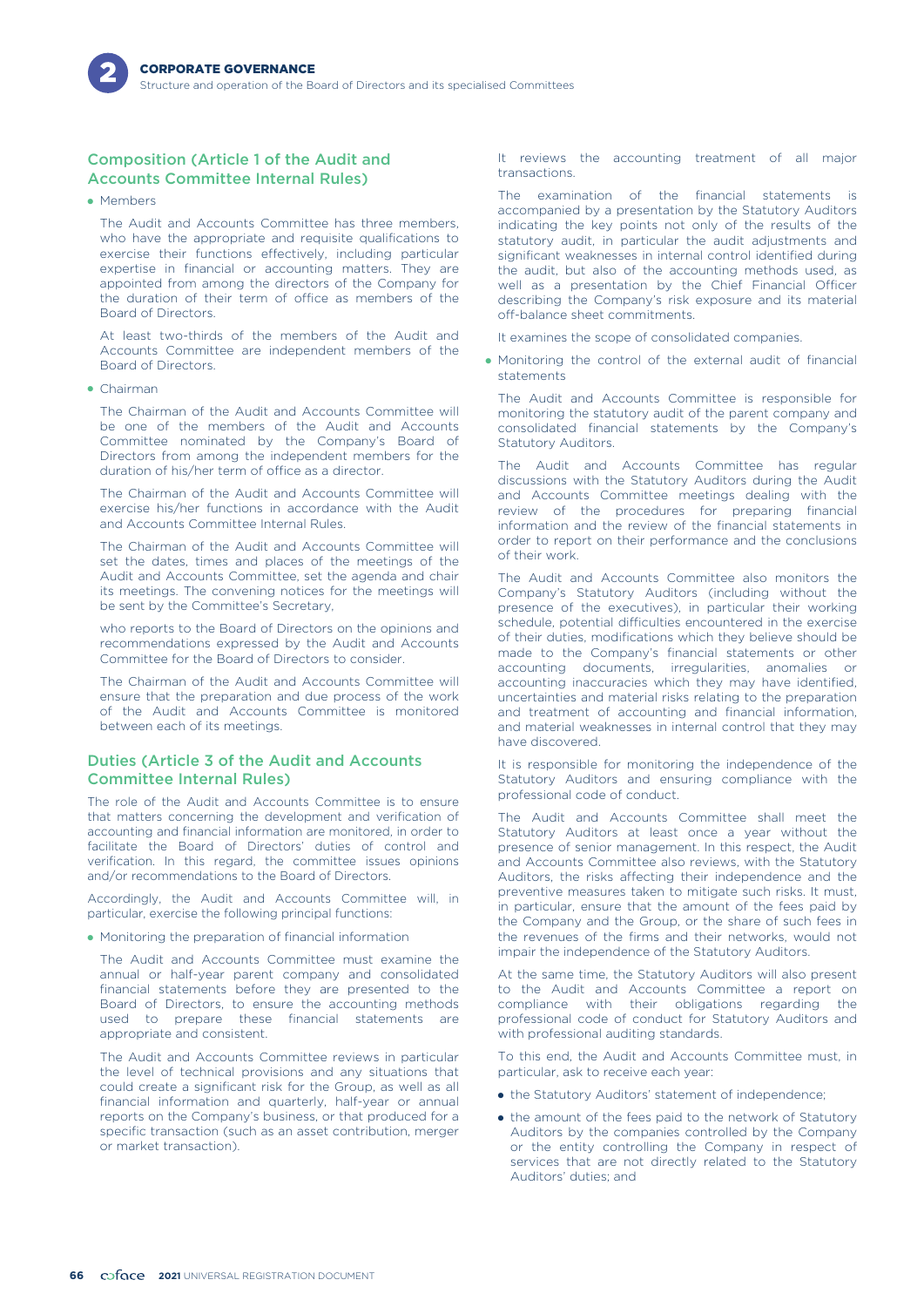# Composition (Article 1 of the Audit and Accounts Committee Internal Rules)

• Members

The Audit and Accounts Committee has three members, who have the appropriate and requisite qualifications to exercise their functions effectively, including particular expertise in financial or accounting matters. They are appointed from among the directors of the Company for the duration of their term of office as members of the Board of Directors.

At least two-thirds of the members of the Audit and Accounts Committee are independent members of the Board of Directors.

- Chairman

The Chairman of the Audit and Accounts Committee will be one of the members of the Audit and Accounts Committee nominated by the Company's Board of Directors from among the independent members for the duration of his/her term of office as a director.

The Chairman of the Audit and Accounts Committee will exercise his/her functions in accordance with the Audit and Accounts Committee Internal Rules.

The Chairman of the Audit and Accounts Committee will set the dates, times and places of the meetings of the Audit and Accounts Committee, set the agenda and chair its meetings. The convening notices for the meetings will be sent by the Committee's Secretary,

who reports to the Board of Directors on the opinions and recommendations expressed by the Audit and Accounts Committee for the Board of Directors to consider.

The Chairman of the Audit and Accounts Committee will ensure that the preparation and due process of the work of the Audit and Accounts Committee is monitored between each of its meetings.

# Duties (Article 3 of the Audit and Accounts Committee Internal Rules)

The role of the Audit and Accounts Committee is to ensure that matters concerning the development and verification of accounting and financial information are monitored, in order to facilitate the Board of Directors' duties of control and verification. In this regard, the committee issues opinions and/or recommendations to the Board of Directors.

Accordingly, the Audit and Accounts Committee will, in particular, exercise the following principal functions:

- Monitoring the preparation of financial information

The Audit and Accounts Committee must examine the annual or half-year parent company and consolidated financial statements before they are presented to the Board of Directors, to ensure the accounting methods used to prepare these financial statements are appropriate and consistent.

The Audit and Accounts Committee reviews in particular the level of technical provisions and any situations that could create a significant risk for the Group, as well as all financial information and quarterly, half-year or annual reports on the Company's business, or that produced for a specific transaction (such as an asset contribution, merger or market transaction).

It reviews the accounting treatment of all major transactions.

The examination of the financial statements is accompanied by a presentation by the Statutory Auditors indicating the key points not only of the results of the statutory audit, in particular the audit adjustments and significant weaknesses in internal control identified during the audit, but also of the accounting methods used, as well as a presentation by the Chief Financial Officer describing the Company's risk exposure and its material off-balance sheet commitments.

It examines the scope of consolidated companies.

- Monitoring the control of the external audit of financial statements

The Audit and Accounts Committee is responsible for monitoring the statutory audit of the parent company and consolidated financial statements by the Company's Statutory Auditors.

The Audit and Accounts Committee has regular discussions with the Statutory Auditors during the Audit and Accounts Committee meetings dealing with the review of the procedures for preparing financial information and the review of the financial statements in order to report on their performance and the conclusions of their work.

The Audit and Accounts Committee also monitors the Company's Statutory Auditors (including without the presence of the executives), in particular their working schedule, potential difficulties encountered in the exercise of their duties, modifications which they believe should be made to the Company's financial statements or other accounting documents, irregularities, anomalies or accounting inaccuracies which they may have identified, uncertainties and material risks relating to the preparation and treatment of accounting and financial information, and material weaknesses in internal control that they may have discovered.

It is responsible for monitoring the independence of the Statutory Auditors and ensuring compliance with the professional code of conduct.

The Audit and Accounts Committee shall meet the Statutory Auditors at least once a year without the presence of senior management. In this respect, the Audit and Accounts Committee also reviews, with the Statutory Auditors, the risks affecting their independence and the preventive measures taken to mitigate such risks. It must, in particular, ensure that the amount of the fees paid by the Company and the Group, or the share of such fees in the revenues of the firms and their networks, would not impair the independence of the Statutory Auditors.

At the same time, the Statutory Auditors will also present to the Audit and Accounts Committee a report on compliance with their obligations regarding the professional code of conduct for Statutory Auditors and with professional auditing standards.

To this end, the Audit and Accounts Committee must, in particular, ask to receive each year:

- the Statutory Auditors' statement of independence;
- the amount of the fees paid to the network of Statutory Auditors by the companies controlled by the Company or the entity controlling the Company in respect of services that are not directly related to the Statutory Auditors' duties; and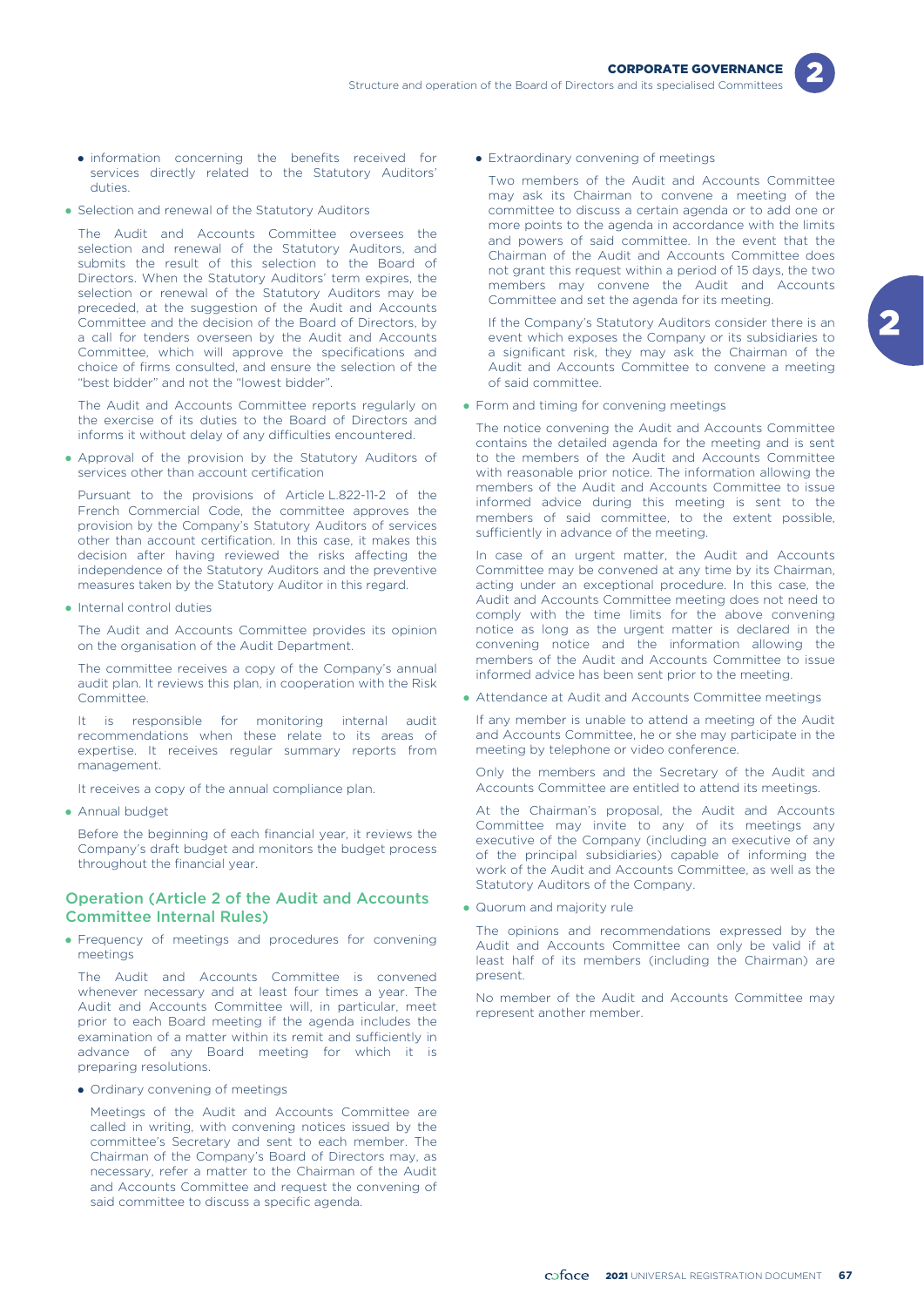- information concerning the benefits received for services directly related to the Statutory Auditors' duties.
- Selection and renewal of the Statutory Auditors

The Audit and Accounts Committee oversees the selection and renewal of the Statutory Auditors, and submits the result of this selection to the Board of Directors. When the Statutory Auditors' term expires, the selection or renewal of the Statutory Auditors may be preceded, at the suggestion of the Audit and Accounts Committee and the decision of the Board of Directors, by a call for tenders overseen by the Audit and Accounts Committee, which will approve the specifications and choice of firms consulted, and ensure the selection of the "best bidder" and not the "lowest bidder".

The Audit and Accounts Committee reports regularly on the exercise of its duties to the Board of Directors and informs it without delay of any difficulties encountered.

- Approval of the provision by the Statutory Auditors of services other than account certification

Pursuant to the provisions of Article L.822-11-2 of the French Commercial Code, the committee approves the provision by the Company's Statutory Auditors of services other than account certification. In this case, it makes this decision after having reviewed the risks affecting the independence of the Statutory Auditors and the preventive measures taken by the Statutory Auditor in this regard.

• Internal control duties

The Audit and Accounts Committee provides its opinion on the organisation of the Audit Department.

The committee receives a copy of the Company's annual audit plan. It reviews this plan, in cooperation with the Risk Committee.

It is responsible for monitoring internal audit recommendations when these relate to its areas of expertise. It receives regular summary reports from management.

It receives a copy of the annual compliance plan.

• Annual budget

Before the beginning of each financial year, it reviews the Company's draft budget and monitors the budget process throughout the financial year.

# Operation (Article 2 of the Audit and Accounts Committee Internal Rules)

- Frequency of meetings and procedures for convening meetings

The Audit and Accounts Committee is convened whenever necessary and at least four times a year. The Audit and Accounts Committee will, in particular, meet prior to each Board meeting if the agenda includes the examination of a matter within its remit and sufficiently in advance of any Board meeting for which it is preparing resolutions.

• Ordinary convening of meetings

Meetings of the Audit and Accounts Committee are called in writing, with convening notices issued by the committee's Secretary and sent to each member. The Chairman of the Company's Board of Directors may, as necessary, refer a matter to the Chairman of the Audit and Accounts Committee and request the convening of said committee to discuss a specific agenda.

**•** Extraordinary convening of meetings

Two members of the Audit and Accounts Committee may ask its Chairman to convene a meeting of the committee to discuss a certain agenda or to add one or more points to the agenda in accordance with the limits and powers of said committee. In the event that the Chairman of the Audit and Accounts Committee does not grant this request within a period of 15 days, the two members may convene the Audit and Accounts Committee and set the agenda for its meeting.

If the Company's Statutory Auditors consider there is an event which exposes the Company or its subsidiaries to a significant risk, they may ask the Chairman of the Audit and Accounts Committee to convene a meeting of said committee.

• Form and timing for convening meetings

The notice convening the Audit and Accounts Committee contains the detailed agenda for the meeting and is sent to the members of the Audit and Accounts Committee with reasonable prior notice. The information allowing the members of the Audit and Accounts Committee to issue informed advice during this meeting is sent to the members of said committee, to the extent possible, sufficiently in advance of the meeting.

In case of an urgent matter, the Audit and Accounts Committee may be convened at any time by its Chairman, acting under an exceptional procedure. In this case, the Audit and Accounts Committee meeting does not need to comply with the time limits for the above convening notice as long as the urgent matter is declared in the convening notice and the information allowing the members of the Audit and Accounts Committee to issue informed advice has been sent prior to the meeting.

• Attendance at Audit and Accounts Committee meetings

If any member is unable to attend a meeting of the Audit and Accounts Committee, he or she may participate in the meeting by telephone or video conference.

Only the members and the Secretary of the Audit and Accounts Committee are entitled to attend its meetings.

At the Chairman's proposal, the Audit and Accounts Committee may invite to any of its meetings any executive of the Company (including an executive of any of the principal subsidiaries) capable of informing the work of the Audit and Accounts Committee, as well as the Statutory Auditors of the Company.

• Quorum and majority rule

The opinions and recommendations expressed by the Audit and Accounts Committee can only be valid if at least half of its members (including the Chairman) are present.

No member of the Audit and Accounts Committee may represent another member.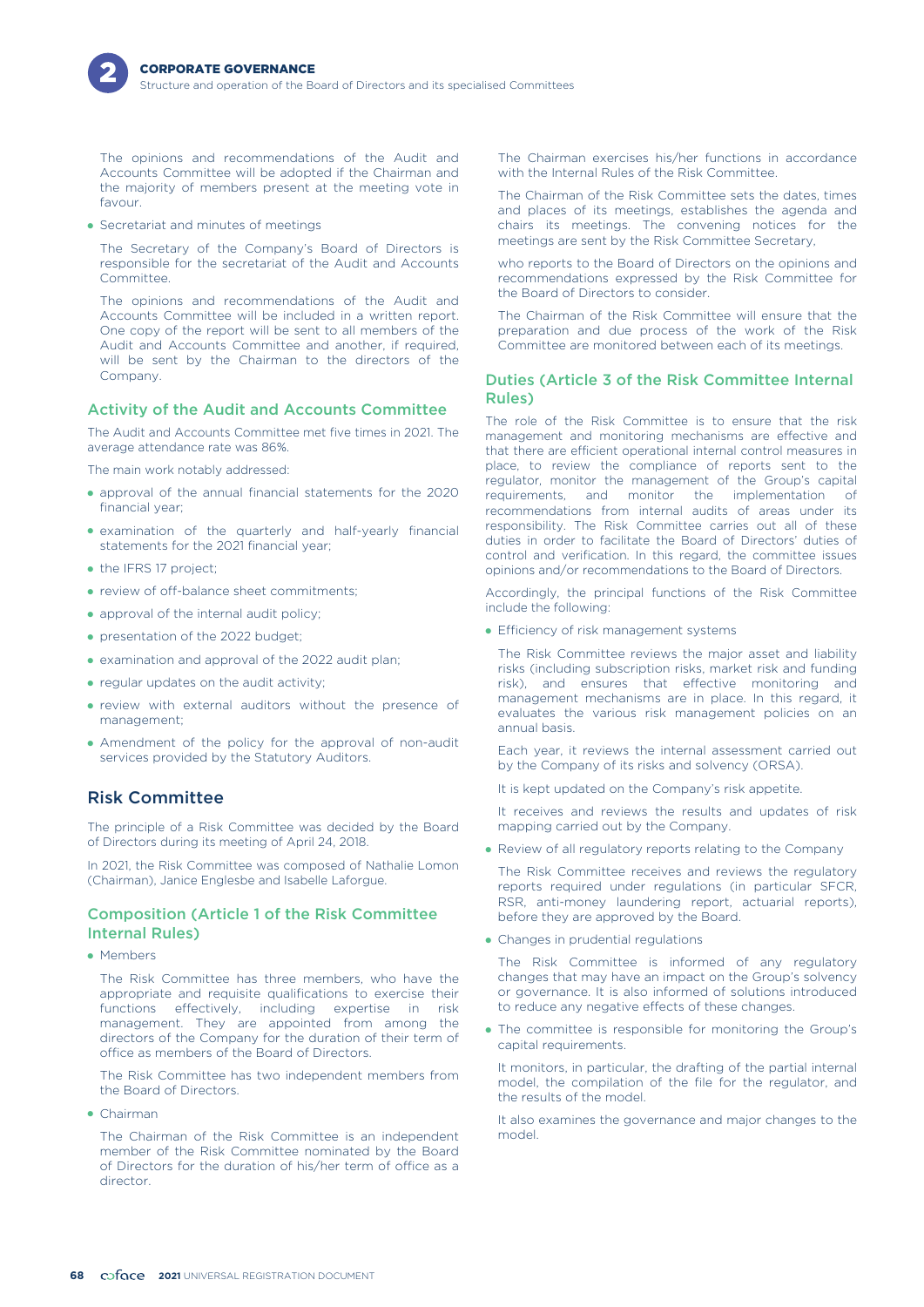

The opinions and recommendations of the Audit and Accounts Committee will be adopted if the Chairman and the majority of members present at the meeting vote in favour.

- Secretariat and minutes of meetings

The Secretary of the Company's Board of Directors is responsible for the secretariat of the Audit and Accounts Committee.

The opinions and recommendations of the Audit and Accounts Committee will be included in a written report. One copy of the report will be sent to all members of the Audit and Accounts Committee and another, if required, will be sent by the Chairman to the directors of the Company.

# Activity of the Audit and Accounts Committee

The Audit and Accounts Committee met five times in 2021. The average attendance rate was 86%.

The main work notably addressed:

- approval of the annual financial statements for the 2020 financial year;
- examination of the quarterly and half-yearly financial statements for the 2021 financial year;
- the IFRS 17 project;
- review of off-balance sheet commitments;
- approval of the internal audit policy;
- presentation of the 2022 budget;
- examination and approval of the 2022 audit plan;
- regular updates on the audit activity;
- review with external auditors without the presence of management;
- Amendment of the policy for the approval of non-audit services provided by the Statutory Auditors.

# Risk Committee

The principle of a Risk Committee was decided by the Board of Directors during its meeting of April 24, 2018.

In 2021, the Risk Committee was composed of Nathalie Lomon (Chairman), Janice Englesbe and Isabelle Laforgue.

# Composition (Article 1 of the Risk Committee Internal Rules)

• Members

The Risk Committee has three members, who have the appropriate and requisite qualifications to exercise their functions effectively, including expertise in risk management. They are appointed from among the directors of the Company for the duration of their term of office as members of the Board of Directors.

The Risk Committee has two independent members from the Board of Directors.

- Chairman

The Chairman of the Risk Committee is an independent member of the Risk Committee nominated by the Board of Directors for the duration of his/her term of office as a director.

The Chairman exercises his/her functions in accordance with the Internal Rules of the Risk Committee.

The Chairman of the Risk Committee sets the dates, times and places of its meetings, establishes the agenda and chairs its meetings. The convening notices for the meetings are sent by the Risk Committee Secretary,

who reports to the Board of Directors on the opinions and recommendations expressed by the Risk Committee for the Board of Directors to consider.

The Chairman of the Risk Committee will ensure that the preparation and due process of the work of the Risk Committee are monitored between each of its meetings.

# Duties (Article 3 of the Risk Committee Internal Rules)

The role of the Risk Committee is to ensure that the risk management and monitoring mechanisms are effective and that there are efficient operational internal control measures in place, to review the compliance of reports sent to the regulator, monitor the management of the Group's capital requirements, and monitor the implementation of recommendations from internal audits of areas under its responsibility. The Risk Committee carries out all of these duties in order to facilitate the Board of Directors' duties of control and verification. In this regard, the committee issues opinions and/or recommendations to the Board of Directors.

Accordingly, the principal functions of the Risk Committee include the following:

**•** Efficiency of risk management systems

The Risk Committee reviews the major asset and liability risks (including subscription risks, market risk and funding risk), and ensures that effective monitoring and management mechanisms are in place. In this regard, it evaluates the various risk management policies on an annual basis.

Each year, it reviews the internal assessment carried out by the Company of its risks and solvency (ORSA).

It is kept updated on the Company's risk appetite.

It receives and reviews the results and updates of risk mapping carried out by the Company.

• Review of all regulatory reports relating to the Company

The Risk Committee receives and reviews the regulatory reports required under regulations (in particular SFCR, RSR, anti-money laundering report, actuarial reports), before they are approved by the Board.

• Changes in prudential regulations

The Risk Committee is informed of any regulatory changes that may have an impact on the Group's solvency or governance. It is also informed of solutions introduced to reduce any negative effects of these changes.

- The committee is responsible for monitoring the Group's capital requirements.

It monitors, in particular, the drafting of the partial internal model, the compilation of the file for the regulator, and the results of the model.

It also examines the governance and major changes to the model.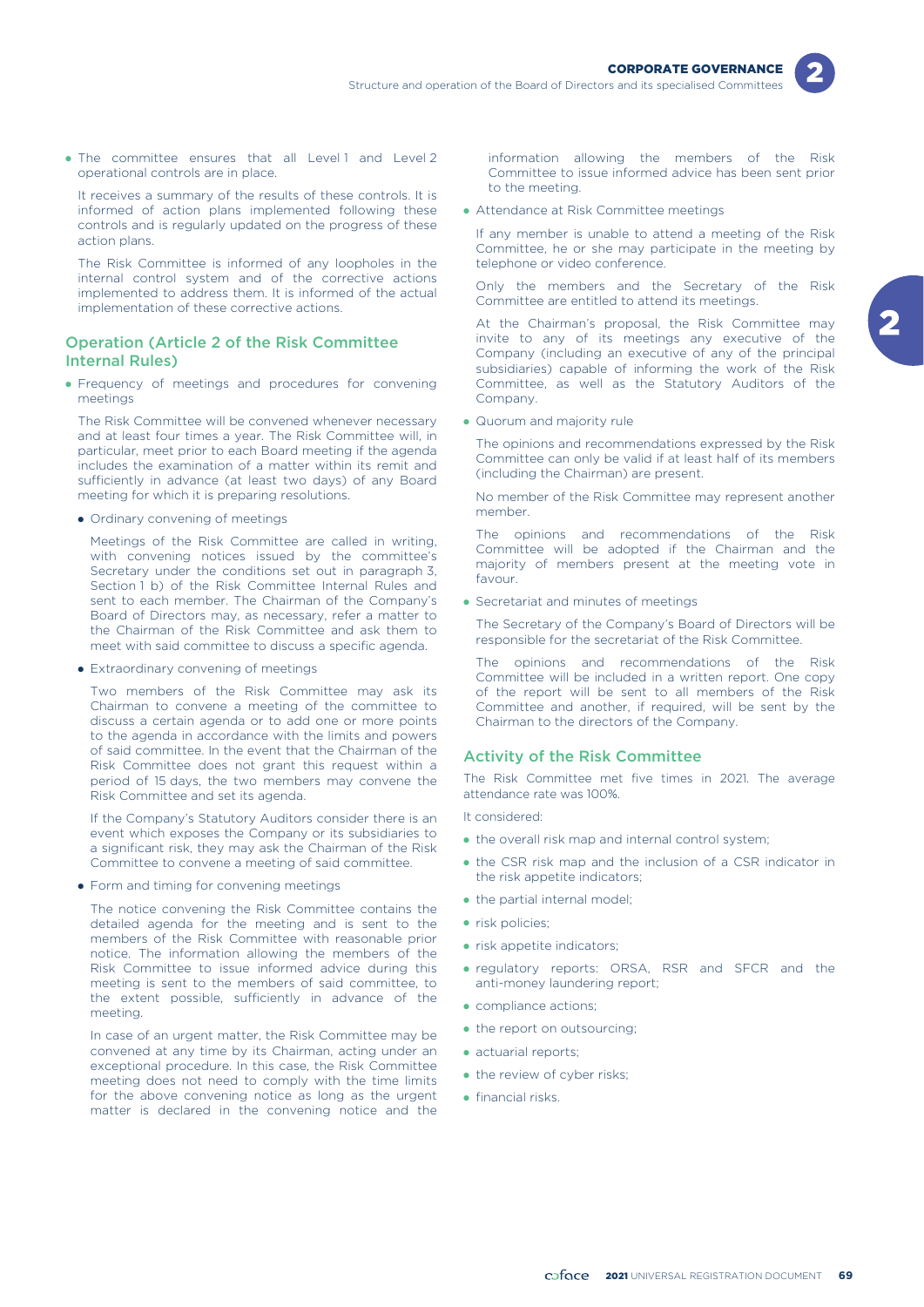



It receives a summary of the results of these controls. It is informed of action plans implemented following these controls and is regularly updated on the progress of these action plans.

The Risk Committee is informed of any loopholes in the internal control system and of the corrective actions implemented to address them. It is informed of the actual implementation of these corrective actions.

# Operation (Article 2 of the Risk Committee Internal Rules)

- Frequency of meetings and procedures for convening meetings

The Risk Committee will be convened whenever necessary and at least four times a year. The Risk Committee will, in particular, meet prior to each Board meeting if the agenda includes the examination of a matter within its remit and sufficiently in advance (at least two days) of any Board meeting for which it is preparing resolutions.

• Ordinary convening of meetings

Meetings of the Risk Committee are called in writing, with convening notices issued by the committee's Secretary under the conditions set out in paragraph 3, Section 1 b) of the Risk Committee Internal Rules and sent to each member. The Chairman of the Company's Board of Directors may, as necessary, refer a matter to the Chairman of the Risk Committee and ask them to meet with said committee to discuss a specific agenda.

**•** Extraordinary convening of meetings

Two members of the Risk Committee may ask its Chairman to convene a meeting of the committee to discuss a certain agenda or to add one or more points to the agenda in accordance with the limits and powers of said committee. In the event that the Chairman of the Risk Committee does not grant this request within a period of 15 days, the two members may convene the Risk Committee and set its agenda.

If the Company's Statutory Auditors consider there is an event which exposes the Company or its subsidiaries to a significant risk, they may ask the Chairman of the Risk Committee to convene a meeting of said committee.

**•** Form and timing for convening meetings

The notice convening the Risk Committee contains the detailed agenda for the meeting and is sent to the members of the Risk Committee with reasonable prior notice. The information allowing the members of the Risk Committee to issue informed advice during this meeting is sent to the members of said committee, to the extent possible, sufficiently in advance of the meeting.

In case of an urgent matter, the Risk Committee may be convened at any time by its Chairman, acting under an exceptional procedure. In this case, the Risk Committee meeting does not need to comply with the time limits for the above convening notice as long as the urgent matter is declared in the convening notice and the

information allowing the members of the Risk Committee to issue informed advice has been sent prior to the meeting.

- Attendance at Risk Committee meetings

If any member is unable to attend a meeting of the Risk Committee, he or she may participate in the meeting by telephone or video conference.

Only the members and the Secretary of the Risk Committee are entitled to attend its meetings.

At the Chairman's proposal, the Risk Committee may invite to any of its meetings any executive of the Company (including an executive of any of the principal subsidiaries) capable of informing the work of the Risk Committee, as well as the Statutory Auditors of the Company.

• Quorum and majority rule

The opinions and recommendations expressed by the Risk Committee can only be valid if at least half of its members (including the Chairman) are present.

No member of the Risk Committee may represent another member.

The opinions and recommendations of the Risk Committee will be adopted if the Chairman and the majority of members present at the meeting vote in favour.

- Secretariat and minutes of meetings

The Secretary of the Company's Board of Directors will be responsible for the secretariat of the Risk Committee.

The opinions and recommendations of the Risk Committee will be included in a written report. One copy of the report will be sent to all members of the Risk Committee and another, if required, will be sent by the Chairman to the directors of the Company.

### Activity of the Risk Committee

The Risk Committee met five times in 2021. The average attendance rate was 100%.

It considered:

- the overall risk map and internal control system;
- the CSR risk map and the inclusion of a CSR indicator in the risk appetite indicators;
- the partial internal model;
- risk policies;
- risk appetite indicators;
- regulatory reports: ORSA, RSR and SFCR and the anti-money laundering report;
- compliance actions;
- the report on outsourcing;
- actuarial reports;
- the review of cyber risks;
- financial risks.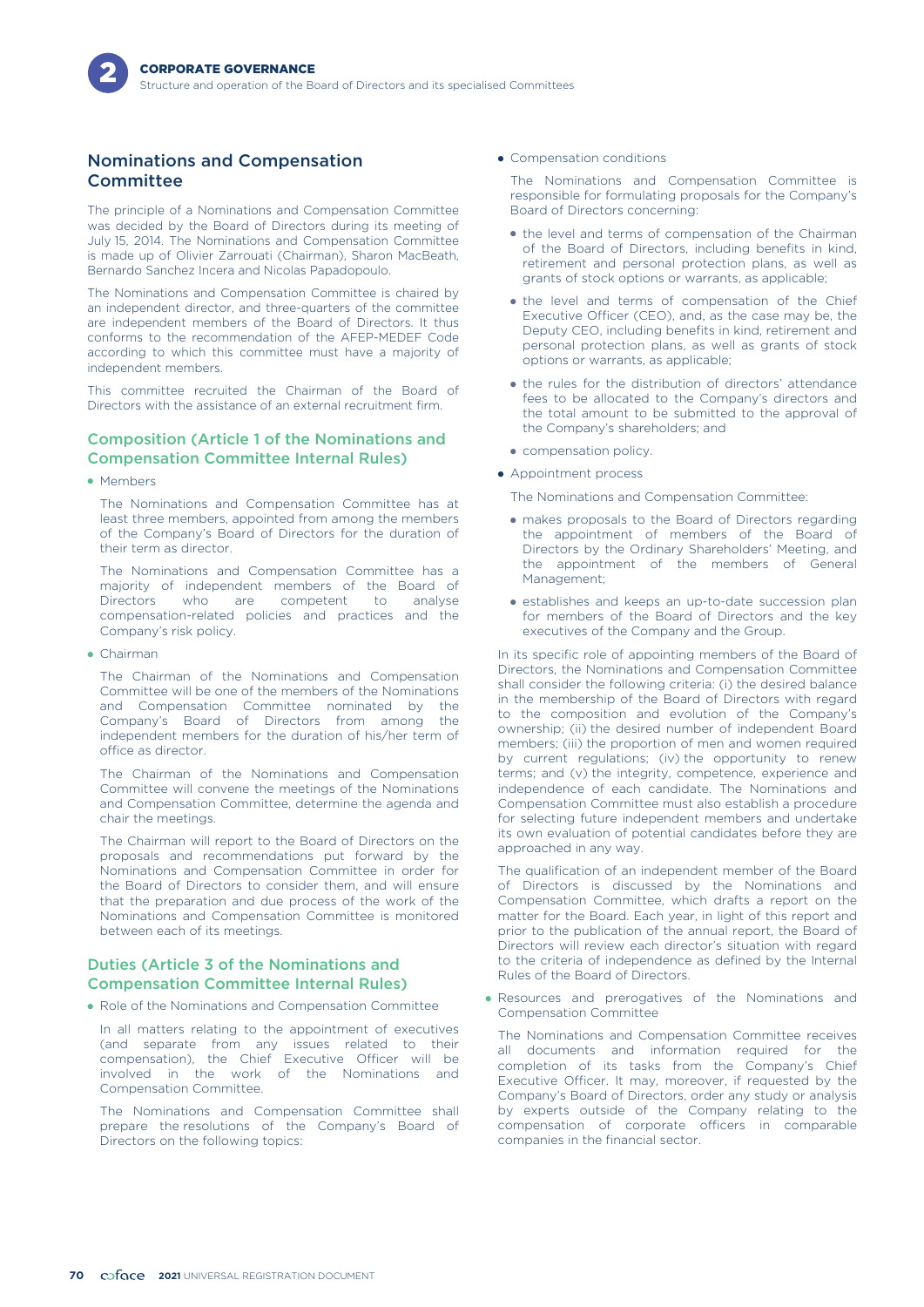# Nominations and Compensation **Committee**

The principle of a Nominations and Compensation Committee was decided by the Board of Directors during its meeting of July 15, 2014. The Nominations and Compensation Committee is made up of Olivier Zarrouati (Chairman), Sharon MacBeath, Bernardo Sanchez Incera and Nicolas Papadopoulo.

The Nominations and Compensation Committee is chaired by an independent director, and three-quarters of the committee are independent members of the Board of Directors. It thus conforms to the recommendation of the AFEP-MEDEF Code according to which this committee must have a majority of independent members.

This committee recruited the Chairman of the Board of Directors with the assistance of an external recruitment firm.

# Composition (Article 1 of the Nominations and Compensation Committee Internal Rules)

• Members

The Nominations and Compensation Committee has at least three members, appointed from among the members of the Company's Board of Directors for the duration of their term as director.

The Nominations and Compensation Committee has a majority of independent members of the Board of Directors who are competent to analyse compensation-related policies and practices and the Company's risk policy.

- Chairman

The Chairman of the Nominations and Compensation Committee will be one of the members of the Nominations and Compensation Committee nominated by the Company's Board of Directors from among the independent members for the duration of his/her term of office as director.

The Chairman of the Nominations and Compensation Committee will convene the meetings of the Nominations and Compensation Committee, determine the agenda and chair the meetings.

The Chairman will report to the Board of Directors on the proposals and recommendations put forward by the Nominations and Compensation Committee in order for the Board of Directors to consider them, and will ensure that the preparation and due process of the work of the Nominations and Compensation Committee is monitored between each of its meetings.

## Duties (Article 3 of the Nominations and Compensation Committee Internal Rules)

• Role of the Nominations and Compensation Committee

In all matters relating to the appointment of executives (and separate from any issues related to their compensation), the Chief Executive Officer will be involved in the work of the Nominations and Compensation Committee.

The Nominations and Compensation Committee shall prepare the resolutions of the Company's Board of Directors on the following topics:

• Compensation conditions

The Nominations and Compensation Committee is responsible for formulating proposals for the Company's Board of Directors concerning:

- the level and terms of compensation of the Chairman of the Board of Directors, including benefits in kind, retirement and personal protection plans, as well as grants of stock options or warrants, as applicable;
- the level and terms of compensation of the Chief Executive Officer (CEO), and, as the case may be, the Deputy CEO, including benefits in kind, retirement and personal protection plans, as well as grants of stock options or warrants, as applicable;
- the rules for the distribution of directors' attendance fees to be allocated to the Company's directors and the total amount to be submitted to the approval of the Company's shareholders; and
- compensation policy.
- Appointment process

The Nominations and Compensation Committee:

- makes proposals to the Board of Directors regarding the appointment of members of the Board of Directors by the Ordinary Shareholders' Meeting, and the appointment of the members of General Management;
- establishes and keeps an up-to-date succession plan for members of the Board of Directors and the key executives of the Company and the Group.

In its specific role of appointing members of the Board of Directors, the Nominations and Compensation Committee shall consider the following criteria: (i) the desired balance in the membership of the Board of Directors with regard to the composition and evolution of the Company's ownership; (ii) the desired number of independent Board members; (iii) the proportion of men and women required by current regulations; (iv) the opportunity to renew terms; and (v) the integrity, competence, experience and independence of each candidate. The Nominations and Compensation Committee must also establish a procedure for selecting future independent members and undertake its own evaluation of potential candidates before they are approached in any way.

The qualification of an independent member of the Board of Directors is discussed by the Nominations and Compensation Committee, which drafts a report on the matter for the Board. Each year, in light of this report and prior to the publication of the annual report, the Board of Directors will review each director's situation with regard to the criteria of independence as defined by the Internal Rules of the Board of Directors.

• Resources and prerogatives of the Nominations and Compensation Committee

The Nominations and Compensation Committee receives all documents and information required for the completion of its tasks from the Company's Chief Executive Officer. It may, moreover, if requested by the Company's Board of Directors, order any study or analysis by experts outside of the Company relating to the compensation of corporate officers in comparable companies in the financial sector.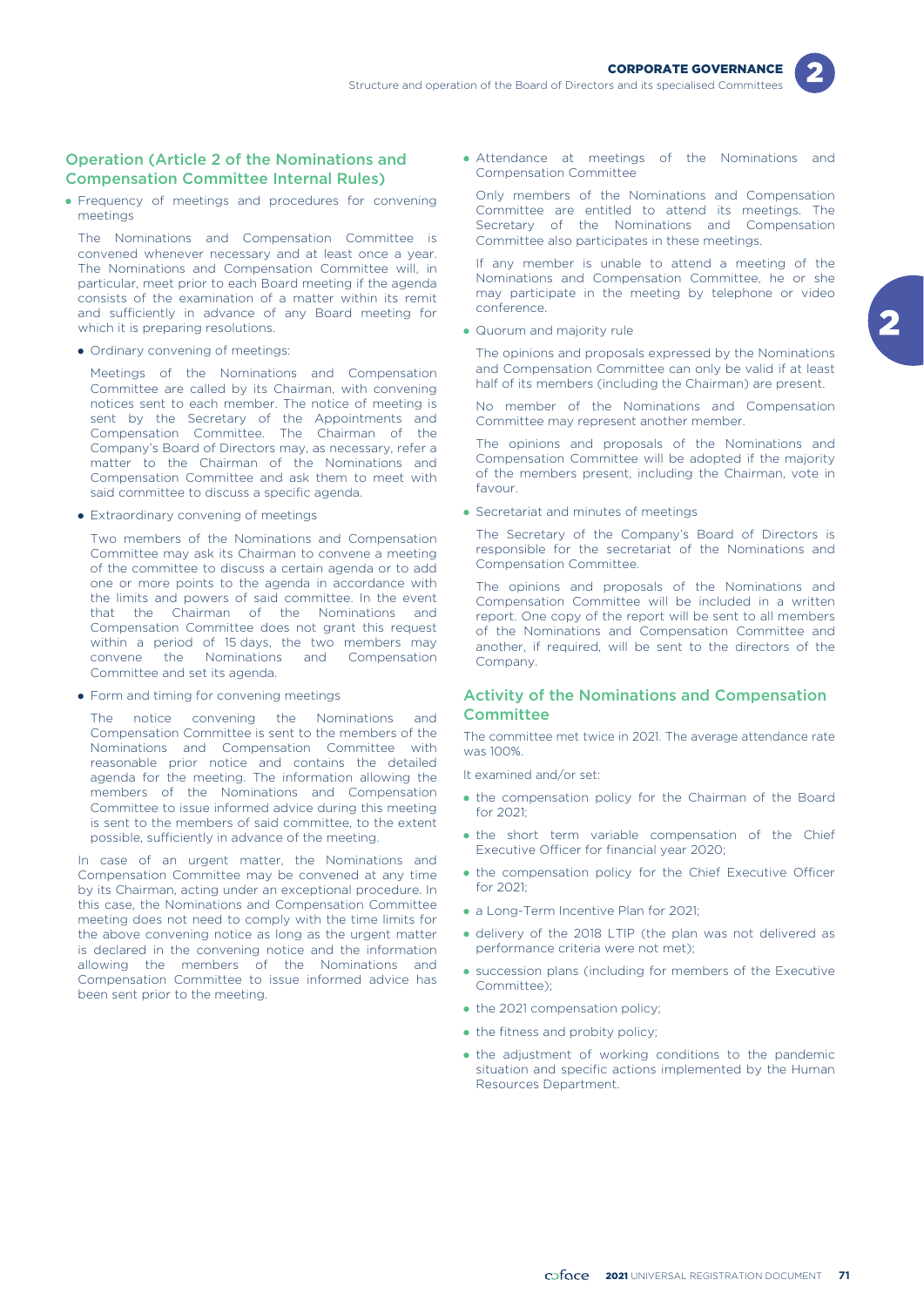

# Operation (Article 2 of the Nominations and Compensation Committee Internal Rules)

- Frequency of meetings and procedures for convening meetings

The Nominations and Compensation Committee is convened whenever necessary and at least once a year. The Nominations and Compensation Committee will, in particular, meet prior to each Board meeting if the agenda consists of the examination of a matter within its remit and sufficiently in advance of any Board meeting for which it is preparing resolutions.

• Ordinary convening of meetings:

Meetings of the Nominations and Compensation Committee are called by its Chairman, with convening notices sent to each member. The notice of meeting is sent by the Secretary of the Appointments and Compensation Committee. The Chairman of the Company's Board of Directors may, as necessary, refer a matter to the Chairman of the Nominations and Compensation Committee and ask them to meet with said committee to discuss a specific agenda.

**•** Extraordinary convening of meetings

Two members of the Nominations and Compensation Committee may ask its Chairman to convene a meeting of the committee to discuss a certain agenda or to add one or more points to the agenda in accordance with the limits and powers of said committee. In the event that the Chairman of the Nominations and Compensation Committee does not grant this request within a period of 15 days, the two members may convene the Nominations and Compensation Committee and set its agenda.

**•** Form and timing for convening meetings

The notice convening the Nominations and Compensation Committee is sent to the members of the Nominations and Compensation Committee with reasonable prior notice and contains the detailed agenda for the meeting. The information allowing the members of the Nominations and Compensation Committee to issue informed advice during this meeting is sent to the members of said committee, to the extent possible, sufficiently in advance of the meeting.

In case of an urgent matter, the Nominations and Compensation Committee may be convened at any time by its Chairman, acting under an exceptional procedure. In this case, the Nominations and Compensation Committee meeting does not need to comply with the time limits for the above convening notice as long as the urgent matter is declared in the convening notice and the information allowing the members of the Nominations and Compensation Committee to issue informed advice has been sent prior to the meeting.

- Attendance at meetings of the Nominations and Compensation Committee

Only members of the Nominations and Compensation Committee are entitled to attend its meetings. The Secretary of the Nominations and Compensation Committee also participates in these meetings.

If any member is unable to attend a meeting of the Nominations and Compensation Committee, he or she may participate in the meeting by telephone or video conference.

• Quorum and majority rule

The opinions and proposals expressed by the Nominations and Compensation Committee can only be valid if at least half of its members (including the Chairman) are present.

No member of the Nominations and Compensation Committee may represent another member.

The opinions and proposals of the Nominations and Compensation Committee will be adopted if the majority of the members present, including the Chairman, vote in favour.

- Secretariat and minutes of meetings

The Secretary of the Company's Board of Directors is responsible for the secretariat of the Nominations and Compensation Committee.

The opinions and proposals of the Nominations and Compensation Committee will be included in a written report. One copy of the report will be sent to all members of the Nominations and Compensation Committee and another, if required, will be sent to the directors of the Company.

# Activity of the Nominations and Compensation **Committee**

The committee met twice in 2021. The average attendance rate was 100%.

It examined and/or set:

- the compensation policy for the Chairman of the Board for 2021;
- the short term variable compensation of the Chief Executive Officer for financial year 2020;
- the compensation policy for the Chief Executive Officer for 2021;
- a Long-Term Incentive Plan for 2021;
- delivery of the 2018 LTIP (the plan was not delivered as performance criteria were not met);
- succession plans (including for members of the Executive Committee);
- the 2021 compensation policy;
- the fitness and probity policy;
- the adjustment of working conditions to the pandemic situation and specific actions implemented by the Human Resources Department.

2021 UNIVERSAL REGISTRATION DOCUMENT **71**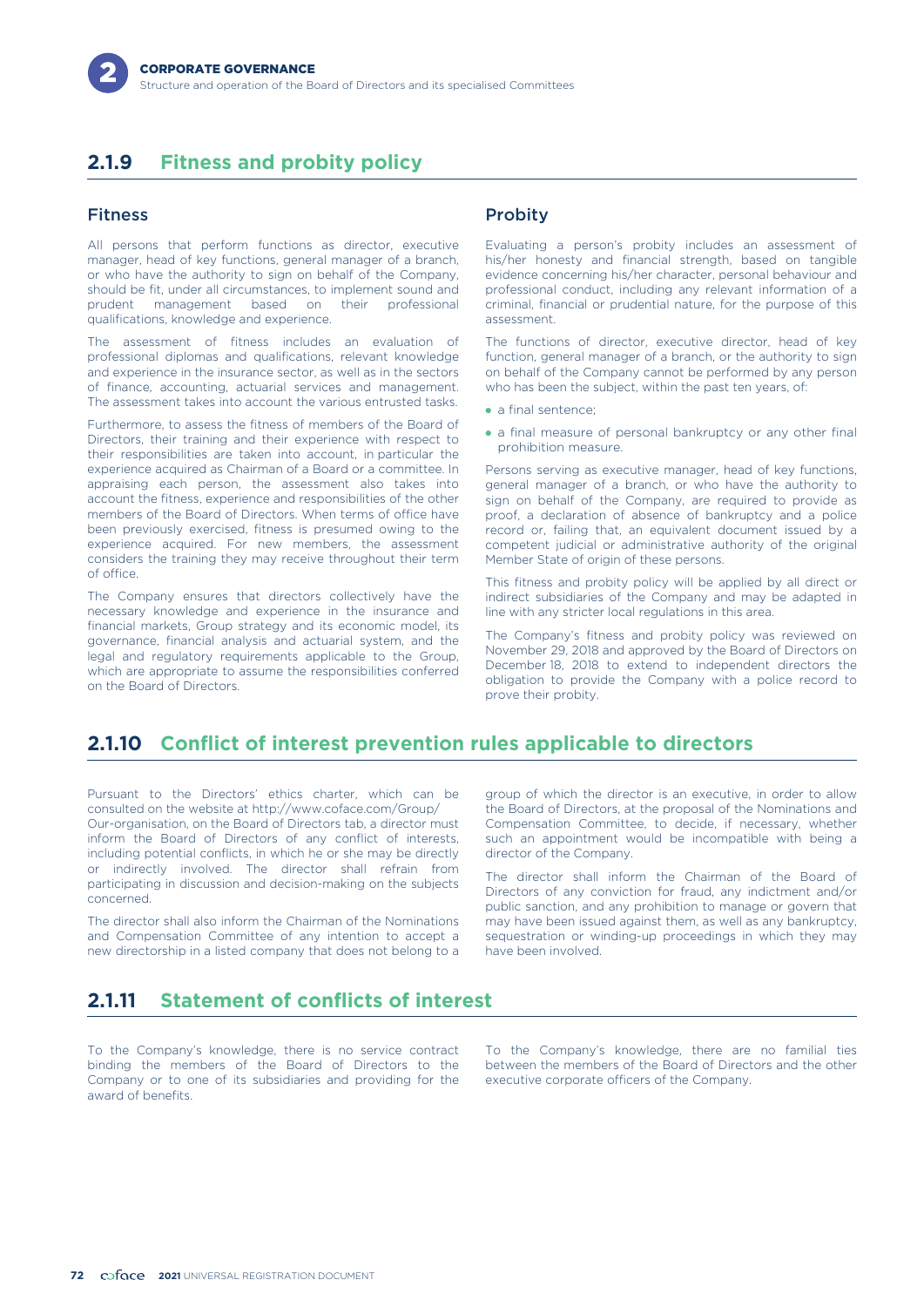# **2.1.9 Fitness and probity policy**

# Fitness

All persons that perform functions as director, executive manager, head of key functions, general manager of a branch, or who have the authority to sign on behalf of the Company, should be fit, under all circumstances, to implement sound and prudent management based on their professional qualifications, knowledge and experience.

The assessment of fitness includes an evaluation of professional diplomas and qualifications, relevant knowledge and experience in the insurance sector, as well as in the sectors of finance, accounting, actuarial services and management. The assessment takes into account the various entrusted tasks.

Furthermore, to assess the fitness of members of the Board of Directors, their training and their experience with respect to their responsibilities are taken into account, in particular the experience acquired as Chairman of a Board or a committee. In appraising each person, the assessment also takes into account the fitness, experience and responsibilities of the other members of the Board of Directors. When terms of office have been previously exercised, fitness is presumed owing to the experience acquired. For new members, the assessment considers the training they may receive throughout their term of office.

The Company ensures that directors collectively have the necessary knowledge and experience in the insurance and financial markets, Group strategy and its economic model, its governance, financial analysis and actuarial system, and the legal and regulatory requirements applicable to the Group, which are appropriate to assume the responsibilities conferred on the Board of Directors.

# **Probity**

Evaluating a person's probity includes an assessment of his/her honesty and financial strength, based on tangible evidence concerning his/her character, personal behaviour and professional conduct, including any relevant information of a criminal, financial or prudential nature, for the purpose of this assessment.

The functions of director, executive director, head of key function, general manager of a branch, or the authority to sign on behalf of the Company cannot be performed by any person who has been the subject, within the past ten years, of:

- a final sentence;
- a final measure of personal bankruptcy or any other final prohibition measure.

Persons serving as executive manager, head of key functions, general manager of a branch, or who have the authority to sign on behalf of the Company, are required to provide as proof, a declaration of absence of bankruptcy and a police record or, failing that, an equivalent document issued by a competent judicial or administrative authority of the original Member State of origin of these persons.

This fitness and probity policy will be applied by all direct or indirect subsidiaries of the Company and may be adapted in line with any stricter local regulations in this area.

The Company's fitness and probity policy was reviewed on November 29, 2018 and approved by the Board of Directors on December 18, 2018 to extend to independent directors the obligation to provide the Company with a police record to prove their probity.

# **2.1.10 Conflict of interest prevention rules applicable to directors**

Pursuant to the Directors' ethics charter, which can be consulted on the website at http://www.coface.com/Group/ Our-organisation, on the Board of Directors tab, a director must inform the Board of Directors of any conflict of interests, including potential conflicts, in which he or she may be directly or indirectly involved. The director shall refrain from participating in discussion and decision-making on the subjects concerned.

The director shall also inform the Chairman of the Nominations and Compensation Committee of any intention to accept a new directorship in a listed company that does not belong to a group of which the director is an executive, in order to allow the Board of Directors, at the proposal of the Nominations and Compensation Committee, to decide, if necessary, whether such an appointment would be incompatible with being a director of the Company.

The director shall inform the Chairman of the Board of Directors of any conviction for fraud, any indictment and/or public sanction, and any prohibition to manage or govern that may have been issued against them, as well as any bankruptcy, sequestration or winding-up proceedings in which they may have been involved.

# **2.1.11 Statement of conflicts of interest**

To the Company's knowledge, there is no service contract binding the members of the Board of Directors to the Company or to one of its subsidiaries and providing for the award of benefits.

To the Company's knowledge, there are no familial ties between the members of the Board of Directors and the other executive corporate officers of the Company.